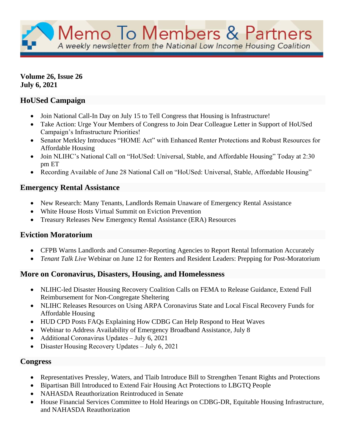Memo To Members & Partners A weekly newsletter from the National Low Income Housing Coalition

**Volume 26, Issue 26 July 6, 2021**

# **HoUSed Campaign**

- Join National Call-In Day on July 15 to Tell Congress that Housing is Infrastructure!
- Take Action: Urge Your Members of Congress to Join Dear Colleague Letter in Support of HoUSed Campaign's Infrastructure Priorities!
- Senator Merkley Introduces "HOME Act" with Enhanced Renter Protections and Robust Resources for Affordable Housing
- Join NLIHC's National Call on "HoUSed: Universal, Stable, and Affordable Housing" Today at 2:30 pm ET
- Recording Available of June 28 National Call on "HoUSed: Universal, Stable, Affordable Housing"

# **Emergency Rental Assistance**

- New Research: Many Tenants, Landlords Remain Unaware of Emergency Rental Assistance
- White House Hosts Virtual Summit on Eviction Prevention
- Treasury Releases New Emergency Rental Assistance (ERA) Resources

# **Eviction Moratorium**

- CFPB Warns Landlords and Consumer-Reporting Agencies to Report Rental Information Accurately
- *Tenant Talk Live* Webinar on June 12 for Renters and Resident Leaders: Prepping for Post-Moratorium

# **More on Coronavirus, Disasters, Housing, and Homelessness**

- NLIHC-led Disaster Housing Recovery Coalition Calls on FEMA to Release Guidance, Extend Full Reimbursement for Non-Congregate Sheltering
- NLIHC Releases Resources on Using ARPA Coronavirus State and Local Fiscal Recovery Funds for Affordable Housing
- HUD CPD Posts FAQs Explaining How CDBG Can Help Respond to Heat Waves
- Webinar to Address Availability of Emergency Broadband Assistance, July 8
- Additional Coronavirus Updates July 6, 2021
- Disaster Housing Recovery Updates July 6, 2021

# **Congress**

- Representatives Pressley, Waters, and Tlaib Introduce Bill to Strengthen Tenant Rights and Protections
- Bipartisan Bill Introduced to Extend Fair Housing Act Protections to LBGTQ People
- NAHASDA Reauthorization Reintroduced in Senate
- House Financial Services Committee to Hold Hearings on CDBG-DR, Equitable Housing Infrastructure, and NAHASDA Reauthorization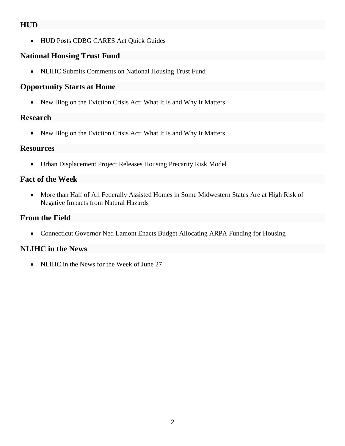## **HUD**

• HUD Posts CDBG CARES Act Quick Guides

# **National Housing Trust Fund**

• NLIHC Submits Comments on National Housing Trust Fund

## **Opportunity Starts at Home**

• New Blog on the Eviction Crisis Act: What It Is and Why It Matters

## **Research**

• New Blog on the Eviction Crisis Act: What It Is and Why It Matters

## **Resources**

• Urban Displacement Project Releases Housing Precarity Risk Model

# **Fact of the Week**

• More than Half of All Federally Assisted Homes in Some Midwestern States Are at High Risk of Negative Impacts from Natural Hazards

# **From the Field**

• Connecticut Governor Ned Lamont Enacts Budget Allocating ARPA Funding for Housing

# **NLIHC in the News**

• NLIHC in the News for the Week of June 27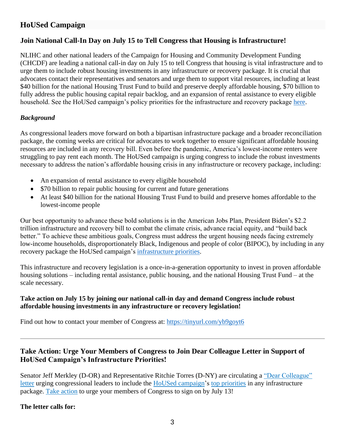# **HoUSed Campaign**

## **Join National Call-In Day on July 15 to Tell Congress that Housing is Infrastructure!**

NLIHC and other national leaders of the Campaign for Housing and Community Development Funding (CHCDF) are leading a national call-in day on July 15 to tell Congress that housing is vital infrastructure and to urge them to include robust housing investments in any infrastructure or recovery package. It is crucial that advocates contact their representatives and senators and urge them to support vital resources, including at least \$40 billion for the national Housing Trust Fund to build and preserve deeply affordable housing, \$70 billion to fully address the public housing capital repair backlog, and an expansion of rental assistance to every eligible household. See the HoUSed campaign's policy priorities for the infrastructure and recovery package [here.](https://nlihc.org/sites/default/files/American_Recovery_Plan.pdf)

#### *Background*

As congressional leaders move forward on both a bipartisan infrastructure package and a broader reconciliation package, the coming weeks are critical for advocates to work together to ensure significant affordable housing resources are included in any recovery bill. Even before the pandemic, America's lowest-income renters were struggling to pay rent each month. The HoUSed campaign is urging congress to include the robust investments necessary to address the nation's affordable housing crisis in any infrastructure or recovery package, including:

- An expansion of rental assistance to every eligible household
- \$70 billion to repair public housing for current and future generations
- At least \$40 billion for the national Housing Trust Fund to build and preserve homes affordable to the lowest-income people

Our best opportunity to advance these bold solutions is in the American Jobs Plan, President Biden's \$2.2 trillion infrastructure and recovery bill to combat the climate crisis, advance racial equity, and "build back better." To achieve these ambitious goals, Congress must address the urgent housing needs facing extremely low-income households, disproportionately Black, Indigenous and people of color (BIPOC), by including in any recovery package the HoUSed campaign's [infrastructure priorities.](https://nlihc.org/sites/default/files/American_Recovery_Plan.pdf)

This infrastructure and recovery legislation is a once-in-a-generation opportunity to invest in proven affordable housing solutions – including rental assistance, public housing, and the national Housing Trust Fund – at the scale necessary.

#### **Take action on July 15 by joining our national call-in day and demand Congress include robust affordable housing investments in any infrastructure or recovery legislation!**

Find out how to contact your member of Congress at:<https://tinyurl.com/yb9goyt6>

## **Take Action: Urge Your Members of Congress to Join Dear Colleague Letter in Support of HoUSed Campaign's Infrastructure Priorities!**

Senator Jeff Merkley (D-OR) and Representative Ritchie Torres (D-NY) are circulating a ["Dear Colleague"](https://nam04.safelinks.protection.outlook.com/?url=https%3A%2F%2Fnlihc.us4.list-manage.com%2Ftrack%2Fclick%3Fu%3De702259618becdc3f0451bd5d%26id%3D414eecbd56%26e%3D29ebde5685&data=04%7C01%7C%7Caad447cf7e5b4950dc9408d9318bdea8%7Cd9ab7747cd104372b0b3229c61592adf%7C0%7C0%7C637595299065221607%7CUnknown%7CTWFpbGZsb3d8eyJWIjoiMC4wLjAwMDAiLCJQIjoiV2luMzIiLCJBTiI6Ik1haWwiLCJXVCI6Mn0%3D%7C1000&sdata=pNXULv3RwvtXBDX2D2ChY41yZ%2FW%2Bte67sS58bBfRcGg%3D&reserved=0)  [letter](https://nam04.safelinks.protection.outlook.com/?url=https%3A%2F%2Fnlihc.us4.list-manage.com%2Ftrack%2Fclick%3Fu%3De702259618becdc3f0451bd5d%26id%3D414eecbd56%26e%3D29ebde5685&data=04%7C01%7C%7Caad447cf7e5b4950dc9408d9318bdea8%7Cd9ab7747cd104372b0b3229c61592adf%7C0%7C0%7C637595299065221607%7CUnknown%7CTWFpbGZsb3d8eyJWIjoiMC4wLjAwMDAiLCJQIjoiV2luMzIiLCJBTiI6Ik1haWwiLCJXVCI6Mn0%3D%7C1000&sdata=pNXULv3RwvtXBDX2D2ChY41yZ%2FW%2Bte67sS58bBfRcGg%3D&reserved=0) urging congressional leaders to include the [HoUSed campaign'](https://nam04.safelinks.protection.outlook.com/?url=https%3A%2F%2Fnlihc.us4.list-manage.com%2Ftrack%2Fclick%3Fu%3De702259618becdc3f0451bd5d%26id%3D4f90ea5efb%26e%3D29ebde5685&data=04%7C01%7C%7Caad447cf7e5b4950dc9408d9318bdea8%7Cd9ab7747cd104372b0b3229c61592adf%7C0%7C0%7C637595299065231602%7CUnknown%7CTWFpbGZsb3d8eyJWIjoiMC4wLjAwMDAiLCJQIjoiV2luMzIiLCJBTiI6Ik1haWwiLCJXVCI6Mn0%3D%7C1000&sdata=hM%2F%2BEDKw6a8ifOM7TeHt3UpF4T%2BZzTmdKJgptuOqtV4%3D&reserved=0)s [top priorities](https://nam04.safelinks.protection.outlook.com/?url=https%3A%2F%2Fnlihc.us4.list-manage.com%2Ftrack%2Fclick%3Fu%3De702259618becdc3f0451bd5d%26id%3D15f6317409%26e%3D29ebde5685&data=04%7C01%7C%7Caad447cf7e5b4950dc9408d9318bdea8%7Cd9ab7747cd104372b0b3229c61592adf%7C0%7C0%7C637595299065231602%7CUnknown%7CTWFpbGZsb3d8eyJWIjoiMC4wLjAwMDAiLCJQIjoiV2luMzIiLCJBTiI6Ik1haWwiLCJXVCI6Mn0%3D%7C1000&sdata=f5GXgBsYHPQ2AMORE2HOfimisqBWzDS1mgs072TK6%2FI%3D&reserved=0) in any infrastructure package. [Take action](https://nlihc.secure.force.com/actions/TakeActionNew?actionId=AR00941) to urge your members of Congress to sign on by July 13!

#### **The letter calls for:**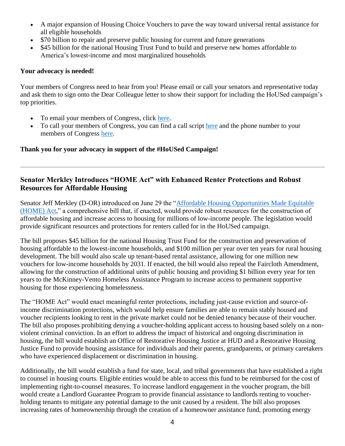- A major expansion of Housing Choice Vouchers to pave the way toward universal rental assistance for all eligible households
- \$70 billion to repair and preserve public housing for current and future generations
- \$45 billion for the national Housing Trust Fund to build and preserve new homes affordable to America's lowest-income and most marginalized households

#### **Your advocacy is needed!**

Your members of Congress need to hear from you! Please email or call your senators and representative today and ask them to sign onto the Dear Colleague letter to show their support for including the HoUSed campaign's top priorities.

- To email your members of Congress, click [here.](https://nlihc.secure.force.com/actions/TakeActionNew?actionId=AR00941)
- To call your members of Congress, you can find a call script [here](https://nlihc.org/sites/default/files/Dear_Colleague_Letter_Call_Script.pdf) and the phone number to your members of Congress [here.](https://www.govtrack.us/)

### **Thank you for your advocacy in support of the #HoUSed Campaign!**

## **Senator Merkley Introduces "HOME Act" with Enhanced Renter Protections and Robust Resources for Affordable Housing**

Senator Jeff Merkley (D-OR) introduced on June 29 the ["Affordable Housing Opportunities Made Equitable](https://tinyurl.com/b9v6pyzt)  [\(HOME\) Act,](https://tinyurl.com/b9v6pyzt)" a comprehensive bill that, if enacted, would provide robust resources for the construction of affordable housing and increase access to housing for millions of low-income people. The legislation would provide significant resources and protections for renters called for in the HoUSed campaign.

The bill proposes \$45 billion for the national Housing Trust Fund for the construction and preservation of housing affordable to the lowest-income households, and \$100 million per year over ten years for rural housing development. The bill would also scale up tenant-based rental assistance, allowing for one million new vouchers for low-income households by 2031. If enacted, the bill would also repeal the Faircloth Amendment, allowing for the construction of additional units of public housing and providing \$1 billion every year for ten years to the McKinney-Vento Homeless Assistance Program to increase access to permanent supportive housing for those experiencing homelessness.

The "HOME Act" would enact meaningful renter protections, including just-cause eviction and source-ofincome discrimination protections, which would help ensure families are able to remain stably housed and voucher recipients looking to rent in the private market could not be denied tenancy because of their voucher. The bill also proposes prohibiting denying a voucher-holding applicant access to housing based solely on a nonviolent criminal conviction. In an effort to address the impact of historical and ongoing discrimination in housing, the bill would establish an Office of Restorative Housing Justice at HUD and a Restorative Housing Justice Fund to provide housing assistance for individuals and their parents, grandparents, or primary caretakers who have experienced displacement or discrimination in housing.

Additionally, the bill would establish a fund for state, local, and tribal governments that have established a right to counsel in housing courts. Eligible entities would be able to access this fund to be reimbursed for the cost of implementing right-to-counsel measures. To increase landlord engagement in the voucher program, the bill would create a Landlord Guarantee Program to provide financial assistance to landlords renting to voucherholding tenants to mitigate any potential damage to the unit caused by a resident. The bill also proposes increasing rates of homeownership through the creation of a homeowner assistance fund, promoting energy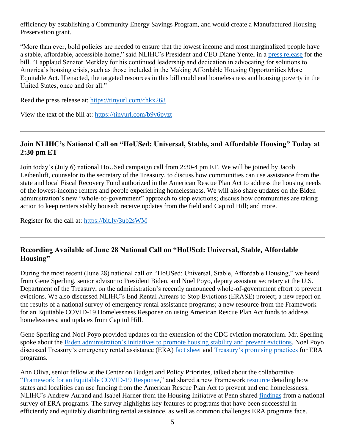efficiency by establishing a Community Energy Savings Program, and would create a Manufactured Housing Preservation grant.

"More than ever, bold policies are needed to ensure that the lowest income and most marginalized people have a stable, affordable, accessible home," said NLIHC's President and CEO Diane Yentel in a [press release](https://www.merkley.senate.gov/news/press-releases/merkley-continues-housing-advocacy-by-introducing-affordable-home-act-laying-out-comprehensive-strategy-to-increase-housing-access-affordability-2021) for the bill. "I applaud Senator Merkley for his continued leadership and dedication in advocating for solutions to America's housing crisis, such as those included in the Making Affordable Housing Opportunities More Equitable Act. If enacted, the targeted resources in this bill could end homelessness and housing poverty in the United States, once and for all."

Read the press release at:<https://tinyurl.com/chkx268>

View the text of the bill at:<https://tinyurl.com/b9v6pyzt>

## **Join NLIHC's National Call on "HoUSed: Universal, Stable, and Affordable Housing" Today at 2:30 pm ET**

Join today's (July 6) national HoUSed campaign call from 2:30-4 pm ET. We will be joined by Jacob Leibenluft, counselor to the secretary of the Treasury, to discuss how communities can use assistance from the state and local Fiscal Recovery Fund authorized in the American Rescue Plan Act to address the housing needs of the lowest-income renters and people experiencing homelessness. We will also share updates on the Biden administration's new "whole-of-government" approach to stop evictions; discuss how communities are taking action to keep renters stably housed; receive updates from the field and Capitol Hill; and more.

Register for the call at:<https://bit.ly/3ub2sWM>

## **Recording Available of June 28 National Call on "HoUSed: Universal, Stable, Affordable Housing"**

During the most recent (June 28) national call on "HoUSed: Universal, Stable, Affordable Housing," we heard from Gene Sperling, senior advisor to President Biden, and Noel Poyo, deputy assistant secretary at the U.S. Department of the Treasury, on the administration's recently announced whole-of-government effort to prevent evictions. We also discussed NLIHC's End Rental Arrears to Stop Evictions (ERASE) project; a new report on the results of a national survey of emergency rental assistance programs; a new resource from the Framework for an Equitable COVID-19 Homelessness Response on using American Rescue Plan Act funds to address homelessness; and updates from Capitol Hill.

Gene Sperling and Noel Poyo provided updates on the extension of the CDC eviction moratorium. Mr. Sperling spoke about the [Biden administration's initiatives](https://www.whitehouse.gov/briefing-room/statements-releases/2021/06/24/fact-sheet-biden-harris-administration-announces-initiatives-to-promote-housing-stability-by-supporting-vulnerable-tenants-and-preventing-foreclosures/) to promote housing stability and prevent evictions. Noel Poyo discussed Treasury's emergency rental assistance (ERA) [fact sheet](https://home.treasury.gov/system/files/136/Treasury_Fact_Sheet_6-24-21.pdf?utm_source=NLIHC+All+Subscribers&utm_campaign=fee55d89e7-DHRC-Update-6-30-2021&utm_medium=email&utm_term=0_e090383b5e-fee55d89e7-291742445&ct=t(DHRC-Update-6-30-2021)) and [Treasury's promising practices](https://home.treasury.gov/policy-issues/coronavirus/assistance-for-state-local-and-tribal-governments/emergency-rental-assistance-program/promising-practices?utm_source=NLIHC+All+Subscribers&utm_campaign=fee55d89e7-DHRC-Update-6-30-2021&utm_medium=email&utm_term=0_e090383b5e-fee55d89e7-291742445&ct=t(DHRC-Update-6-30-2021)) for ERA programs.

Ann Oliva, senior fellow at the Center on Budget and Policy Priorities, talked about the collaborative ["Framework for an Equitable COVID-19 Response,](https://housingequityframework.org/)" and shared a new Framework [resource](https://endhomelessness.org/wp-content/uploads/2021/06/06-24-2021_Advancing-Equity-and-Impact-.pdf?utm_source=NLIHC+All+Subscribers&utm_campaign=fee55d89e7-DHRC-Update-6-30-2021&utm_medium=email&utm_term=0_e090383b5e-fee55d89e7-291742445&ct=t(DHRC-Update-6-30-2021)) detailing how states and localities can use funding from the American Rescue Plan Act to prevent and end homelessness. NLIHC's Andrew Aurand and Isabel Harner from the Housing Initiative at Penn shared [findings](https://nlihc.org/sites/default/files/HIP_NLIHC_Furman_2021_6-22_FINAL_v2.pdf) from a national survey of ERA programs. The survey highlights key features of programs that have been successful in efficiently and equitably distributing rental assistance, as well as common challenges ERA programs face.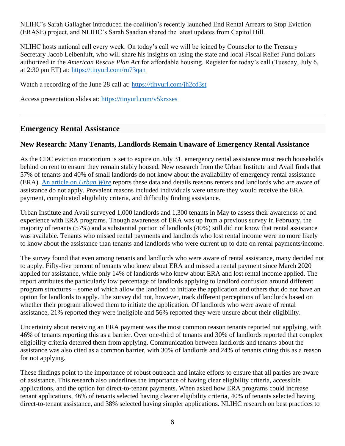NLIHC's Sarah Gallagher introduced the coalition's recently launched End Rental Arrears to Stop Eviction (ERASE) project, and NLIHC's Sarah Saadian shared the latest updates from Capitol Hill.

NLIHC hosts national call every week. On today's call we will be joined by Counselor to the Treasury Secretary Jacob Leibenluft, who will share his insights on using the state and local Fiscal Relief Fund dollars authorized in the *American Rescue Plan Act* for affordable housing. Register for today's call (Tuesday, July 6, at 2:30 pm ET) at:<https://tinyurl.com/ru73qan>

Watch a recording of the June 28 call at:<https://tinyurl.com/jh2cd3st>

Access presentation slides at:<https://tinyurl.com/v5krxses>

### **Emergency Rental Assistance**

### **New Research: Many Tenants, Landlords Remain Unaware of Emergency Rental Assistance**

As the CDC eviction moratorium is set to expire on July 31, emergency rental assistance must reach households behind on rent to ensure they remain stably housed. New research from the Urban Institute and Avail finds that 57% of tenants and 40% of small landlords do not know about the availability of emergency rental assistance (ERA). [An article on](https://www.urban.org/urban-wire/just-month-left-eviction-moratorium-many-mom-and-pop-landlords-and-tenants-are-still-unaware-federal-rental-assistance) *Urban Wire* reports these data and details reasons renters and landlords who are aware of assistance do not apply. Prevalent reasons included individuals were unsure they would receive the ERA payment, complicated eligibility criteria, and difficulty finding assistance.

Urban Institute and Avail surveyed 1,000 landlords and 1,300 tenants in May to assess their awareness of and experience with ERA programs. Though awareness of ERA was up from a previous survey in February, the majority of tenants (57%) and a substantial portion of landlords (40%) still did not know that rental assistance was available. Tenants who missed rental payments and landlords who lost rental income were no more likely to know about the assistance than tenants and landlords who were current up to date on rental payments/income.

The survey found that even among tenants and landlords who were aware of rental assistance, many decided not to apply. Fifty-five percent of tenants who knew about ERA and missed a rental payment since March 2020 applied for assistance, while only 14% of landlords who knew about ERA and lost rental income applied. The report attributes the particularly low percentage of landlords applying to landlord confusion around different program structures – some of which allow the landlord to initiate the application and others that do not have an option for landlords to apply. The survey did not, however, track different perceptions of landlords based on whether their program allowed them to initiate the application. Of landlords who were aware of rental assistance, 21% reported they were ineligible and 56% reported they were unsure about their eligibility.

Uncertainty about receiving an ERA payment was the most common reason tenants reported not applying, with 46% of tenants reporting this as a barrier. Over one-third of tenants and 30% of landlords reported that complex eligibility criteria deterred them from applying. Communication between landlords and tenants about the assistance was also cited as a common barrier, with 30% of landlords and 24% of tenants citing this as a reason for not applying.

These findings point to the importance of robust outreach and intake efforts to ensure that all parties are aware of assistance. This research also underlines the importance of having clear eligibility criteria, accessible applications, and the option for direct-to-tenant payments. When asked how ERA programs could increase tenant applications, 46% of tenants selected having clearer eligibility criteria, 40% of tenants selected having direct-to-tenant assistance, and 38% selected having simpler applications. NLIHC research on best practices to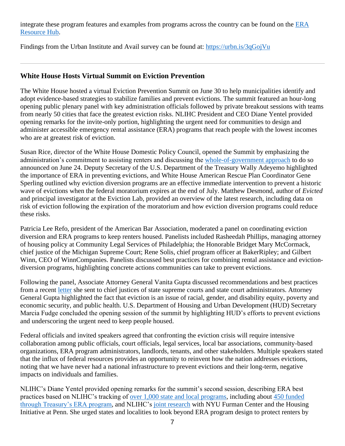integrate these program features and examples from programs across the country can be found on the [ERA](https://nlihc.org/resource-hub)  [Resource Hub.](https://nlihc.org/resource-hub)

Findings from the Urban Institute and Avail survey can be found at:<https://urbn.is/3qGojVu>

## **White House Hosts Virtual Summit on Eviction Prevention**

The White House hosted a virtual Eviction Prevention Summit on June 30 to help municipalities identify and adopt evidence-based strategies to stabilize families and prevent evictions. The summit featured an hour-long opening public plenary panel with key administration officials followed by private breakout sessions with teams from nearly 50 cities that face the greatest eviction risks. NLIHC President and CEO Diane Yentel provided opening remarks for the invite-only portion, highlighting the urgent need for communities to design and administer accessible emergency rental assistance (ERA) programs that reach people with the lowest incomes who are at greatest risk of eviction.

Susan Rice, director of the White House Domestic Policy Council, opened the Summit by emphasizing the administration's commitment to assisting renters and discussing the [whole-of-government approach](https://www.whitehouse.gov/briefing-room/statements-releases/2021/06/24/fact-sheet-biden-harris-administration-announces-initiatives-to-promote-housing-stability-by-supporting-vulnerable-tenants-and-preventing-foreclosures/) to do so announced on June 24. Deputy Secretary of the U.S. Department of the Treasury Wally Adeyemo highlighted the importance of ERA in preventing evictions, and White House American Rescue Plan Coordinator Gene Sperling outlined why eviction diversion programs are an effective immediate intervention to prevent a historic wave of evictions when the federal moratorium expires at the end of July. Matthew Desmond, author of *Evicted* and principal investigator at the Eviction Lab, provided an overview of the latest research, including data on risk of eviction following the expiration of the moratorium and how eviction diversion programs could reduce these risks.

Patricia Lee Refo, president of the American Bar Association, moderated a panel on coordinating eviction diversion and ERA programs to keep renters housed. Panelists included Rasheedah Phillips, managing attorney of housing policy at Community Legal Services of Philadelphia; the Honorable Bridget Mary McCormack, chief justice of the Michigan Supreme Court; Rene Solis, chief program officer at BakerRipley; and Gilbert Winn, CEO of WinnCompanies. Panelists discussed best practices for combining rental assistance and evictiondiversion programs, highlighting concrete actions communities can take to prevent evictions.

Following the panel, Associate Attorney General Vanita Gupta discussed recommendations and best practices from a recent [letter](https://www.justice.gov/asg/page/file/1405886/download) she sent to chief justices of state supreme courts and state court administrators. Attorney General Gupta highlighted the fact that eviction is an issue of racial, gender, and disability equity, poverty and economic security, and public health. U.S. Department of Housing and Urban Development (HUD) Secretary Marcia Fudge concluded the opening session of the summit by highlighting HUD's efforts to prevent evictions and underscoring the urgent need to keep people housed.

Federal officials and invited speakers agreed that confronting the eviction crisis will require intensive collaboration among public officials, court officials, legal services, local bar associations, community-based organizations, ERA program administrators, landlords, tenants, and other stakeholders. Multiple speakers stated that the influx of federal resources provides an opportunity to reinvent how the nation addresses evictions, noting that we have never had a national infrastructure to prevent evictions and their long-term, negative impacts on individuals and families.

NLIHC's Diane Yentel provided opening remarks for the summit's second session, describing ERA best practices based on NLIHC's tracking of [over 1,000 state and local programs,](https://nlihc.org/rental-assistance) including about [450 funded](https://nlihc.org/era-dashboard)  [through Treasury's ERA program,](https://nlihc.org/era-dashboard) and NLIHC's [joint research](https://nlihc.org/resource-hub) with NYU Furman Center and the Housing Initiative at Penn. She urged states and localities to look beyond ERA program design to protect renters by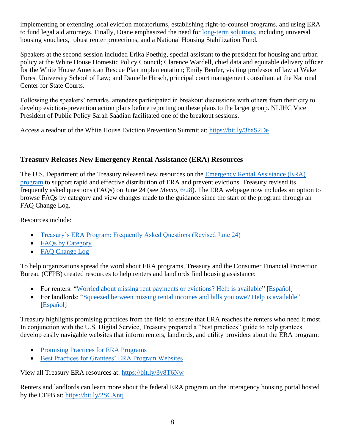implementing or extending local eviction moratoriums, establishing right-to-counsel programs, and using ERA to fund legal aid attorneys. Finally, Diane emphasized the need for [long-term solutions,](https://nlihc.org/housed) including universal housing vouchers, robust renter protections, and a National Housing Stabilization Fund.

Speakers at the second session included Erika Poethig, special assistant to the president for housing and urban policy at the White House Domestic Policy Council; Clarence Wardell, chief data and equitable delivery officer for the White House American Rescue Plan implementation; Emily Benfer, visiting professor of law at Wake Forest University School of Law; and Danielle Hirsch, principal court management consultant at the National Center for State Courts.

Following the speakers' remarks, attendees participated in breakout discussions with others from their city to develop eviction-prevention action plans before reporting on these plans to the larger group. NLIHC Vice President of Public Policy Sarah Saadian facilitated one of the breakout sessions.

Access a readout of the White House Eviction Prevention Summit at:<https://bit.ly/3haS2De>

# **Treasury Releases New Emergency Rental Assistance (ERA) Resources**

The U.S. Department of the Treasury released new resources on the [Emergency Rental Assistance \(ERA\)](https://home.treasury.gov/policy-issues/coronavirus/assistance-for-state-local-and-tribal-governments/emergency-rental-assistance-program)  [program](https://home.treasury.gov/policy-issues/coronavirus/assistance-for-state-local-and-tribal-governments/emergency-rental-assistance-program) to support rapid and effective distribution of ERA and prevent evictions. Treasury revised its frequently asked questions (FAQs) on June 24 (see *Memo*, [6/28\)](https://nlihc.org/resource/treasury-releases-revised-era-guidance-accelerate-and-broaden-distribution-funds). The ERA webpage now includes an option to browse FAQs by category and view changes made to the guidance since the start of the program through an FAQ Change Log.

Resources include:

- [Treasury's ERA Program: Frequently Asked Questions \(Revised June 24\)](https://home.treasury.gov/system/files/136/ERA_FAQs_6-24-21.pdf)
- [FAQs by Category](https://home.treasury.gov/policy-issues/coronavirus/assistance-for-state-local-and-tribal-governments/emergency-rental-assistance-program/faqs/faqs-by-category)
- FAO Change Log

To help organizations spread the word about ERA programs, Treasury and the Consumer Financial Protection Bureau (CFPB) created resources to help renters and landlords find housing assistance:

- For renters: ["Worried about missing rent payments or evictions? Help is available"](https://home.treasury.gov/system/files/136/renters_rental_assistance_help.pdf) [\[Español\]](https://home.treasury.gov/system/files/136/renters_rental_assistance_help_esp_web.pdf)
- For landlords: ["Squeezed between missing rental incomes and bills you owe? Help is available"](https://home.treasury.gov/system/files/136/landlords_rental_assistance_help_r3.pdf) [\[Español\]](https://home.treasury.gov/system/files/136/landlords_rental_assistance_help_esp_web.pdf)

Treasury highlights promising practices from the field to ensure that ERA reaches the renters who need it most. In conjunction with the U.S. Digital Service, Treasury prepared a "best practices" guide to help grantees develop easily navigable websites that inform renters, landlords, and utility providers about the ERA program:

- [Promising Practices for ERA Programs](https://home.treasury.gov/policy-issues/coronavirus/assistance-for-state-local-and-tribal-governments/emergency-rental-assistance-program/promising-practices)
- [Best Practices for Grantees' ERA Program Websites](https://home.treasury.gov/policy-issues/coronavirus/assistance-for-state-local-and-tribal-governments/emergency-rental-assistance-program/promising-practice-guides/program-web-sites)

View all Treasury ERA resources at:<https://bit.ly/3y8T6Nw>

Renters and landlords can learn more about the federal ERA program on the interagency housing portal hosted by the CFPB at:<https://bit.ly/2SCXntj>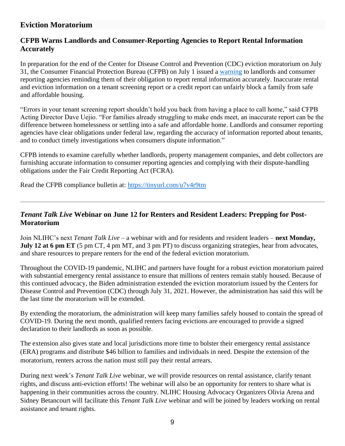# **Eviction Moratorium**

## **CFPB Warns Landlords and Consumer-Reporting Agencies to Report Rental Information Accurately**

In preparation for the end of the Center for Disease Control and Prevention (CDC) eviction moratorium on July 31, the Consumer Financial Protection Bureau (CFPB) on July 1 issued a [warning](https://tinyurl.com/u7v4r9tm) to landlords and consumer reporting agencies reminding them of their obligation to report rental information accurately. Inaccurate rental and eviction information on a tenant screening report or a credit report can unfairly block a family from safe and affordable housing.

"Errors in your tenant screening report shouldn't hold you back from having a place to call home," said CFPB Acting Director Dave Uejio. "For families already struggling to make ends meet, an inaccurate report can be the difference between homelessness or settling into a safe and affordable home. Landlords and consumer reporting agencies have clear obligations under federal law, regarding the accuracy of information reported about tenants, and to conduct timely investigations when consumers dispute information."

CFPB intends to examine carefully whether landlords, property management companies, and debt collectors are furnishing accurate information to consumer reporting agencies and complying with their dispute-handling obligations under the Fair Credit Reporting Act (FCRA).

Read the CFPB compliance bulletin at:<https://tinyurl.com/u7v4r9tm>

# *Tenant Talk Live* **Webinar on June 12 for Renters and Resident Leaders: Prepping for Post-Moratorium**

Join NLIHC's next *Tenant Talk Live* – a webinar with and for residents and resident leaders – **next Monday, July 12 at 6 pm ET** (5 pm CT, 4 pm MT, and 3 pm PT) to discuss organizing strategies, hear from advocates, and share resources to prepare renters for the end of the federal eviction moratorium.

Throughout the COVID-19 pandemic, NLIHC and partners have fought for a robust eviction moratorium paired with substantial emergency rental assistance to ensure that millions of renters remain stably housed. Because of this continued advocacy, the Biden administration extended the eviction moratorium issued by the Centers for Disease Control and Prevention (CDC) through July 31, 2021. However, the administration has said this will be the last time the moratorium will be extended.

By extending the moratorium, the administration will keep many families safely housed to contain the spread of COVID-19. During the next month, qualified renters facing evictions are encouraged to provide a signed declaration to their landlords as soon as possible.

The extension also gives state and local jurisdictions more time to bolster their emergency rental assistance (ERA) programs and distribute \$46 billion to families and individuals in need. Despite the extension of the moratorium, renters across the nation must still pay their rental arrears.

During next week's *Tenant Talk Live* webinar, we will provide resources on rental assistance, clarify tenant rights, and discuss anti-eviction efforts! The webinar will also be an opportunity for renters to share what is happening in their communities across the country. NLIHC Housing Advocacy Organizers Olivia Arena and Sidney Betancourt will facilitate this *Tenant Talk Live* webinar and will be joined by leaders working on rental assistance and tenant rights.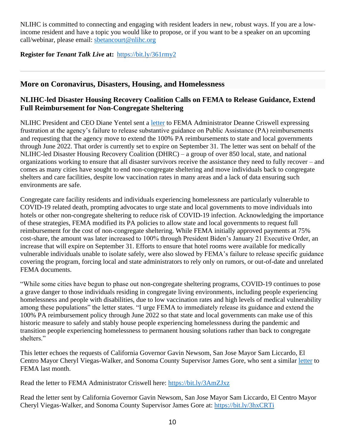NLIHC is committed to connecting and engaging with resident leaders in new, robust ways. If you are a lowincome resident and have a topic you would like to propose, or if you want to be a speaker on an upcoming call/webinar, please email: [sbetancourt@nlihc.org](mailto:sbetancourt@nlihc.org)

### **Register for** *Tenant Talk Live* **at:** <https://bit.ly/361rmy2>

## **More on Coronavirus, Disasters, Housing, and Homelessness**

## **NLIHC-led Disaster Housing Recovery Coalition Calls on FEMA to Release Guidance, Extend Full Reimbursement for Non-Congregate Sheltering**

NLIHC President and CEO Diane Yentel sent a [letter](https://nlihc.org/sites/default/files/NLIHC%20Letter%20to%20Criswell.Guidance.%206.30.pdf) to FEMA Administrator Deanne Criswell expressing frustration at the agency's failure to release substantive guidance on Public Assistance (PA) reimbursements and requesting that the agency move to extend the 100% PA reimbursements to state and local governments through June 2022. That order is currently set to expire on September 31. The letter was sent on behalf of the NLIHC-led Disaster Housing Recovery Coalition (DHRC) – a group of over 850 local, state, and national organizations working to ensure that all disaster survivors receive the assistance they need to fully recover – and comes as many cities have sought to end non-congregate sheltering and move individuals back to congregate shelters and care facilities, despite low vaccination rates in many areas and a lack of data ensuring such environments are safe.

Congregate care facility residents and individuals experiencing homelessness are particularly vulnerable to COVID-19 related death, prompting advocates to urge state and local governments to move individuals into hotels or other non-congregate sheltering to reduce risk of COVID-19 infection. Acknowledging the importance of these strategies, FEMA modified its PA policies to allow state and local governments to request full reimbursement for the cost of non-congregate sheltering. While FEMA initially approved payments at 75% cost-share, the amount was later increased to 100% through President Biden's January 21 Executive Order, an increase that will expire on September 31. Efforts to ensure that hotel rooms were available for medically vulnerable individuals unable to isolate safely, were also slowed by FEMA's failure to release specific guidance covering the program, forcing local and state administrators to rely only on rumors, or out-of-date and unrelated FEMA documents.

"While some cities have begun to phase out non-congregate sheltering programs, COVID-19 continues to pose a grave danger to those individuals residing in congregate living environments, including people experiencing homelessness and people with disabilities, due to low vaccination rates and high levels of medical vulnerability among these populations" the letter states. "I urge FEMA to immediately release its guidance and extend the 100% PA reimbursement policy through June 2022 so that state and local governments can make use of this historic measure to safely and stably house people experiencing homelessness during the pandemic and transition people experiencing homelessness to permanent housing solutions rather than back to congregate shelters."

This letter echoes the requests of California Governor Gavin Newsom, San Jose Mayor Sam Liccardo, El Centro Mayor Cheryl Viegas-Walker, and Sonoma County Supervisor James Gore, who sent a similar [letter](https://nlihc.org/sites/default/files/Roomkey_FEMA_Letter_05.28.2021.pdf) to FEMA last month.

Read the letter to FEMA Administrator Criswell here:<https://bit.ly/3AmZJxz>

Read the letter sent by California Governor Gavin Newsom, San Jose Mayor Sam Liccardo, El Centro Mayor Cheryl Viegas-Walker, and Sonoma County Supervisor James Gore at: <https://bit.ly/3hxCRTi>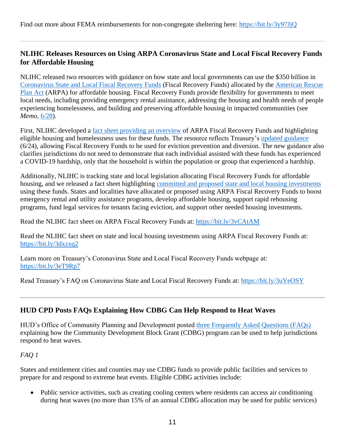# **NLIHC Releases Resources on Using ARPA Coronavirus State and Local Fiscal Recovery Funds for Affordable Housing**

NLIHC released two resources with guidance on how state and local governments can use the \$350 billion in [Coronavirus State and Local Fiscal Recovery Funds](https://home.treasury.gov/policy-issues/coronavirus/assistance-for-state-local-and-tribal-governments/state-and-local-fiscal-recovery-funds) (Fiscal Recovery Funds) allocated by the [American Rescue](https://www.congress.gov/bill/117th-congress/house-bill/1319/text)  [Plan Act](https://www.congress.gov/bill/117th-congress/house-bill/1319/text) (ARPA) for affordable housing. Fiscal Recovery Funds provide flexibility for governments to meet local needs, including providing emergency rental assistance, addressing the housing and health needs of people experiencing homelessness, and building and preserving affordable housing in impacted communities (see *Memo*, [6/28\)](https://nlihc.org/resource/using-arpa-coronavirus-state-and-local-fiscal-recovery-funds-develop-affordable-housing).

First, NLIHC developed a [fact sheet providing an overview](https://nlihc.org/sites/default/files/ARPA_Coronavirus-State-and-Local-Fiscal-Recovery-Funds.pdf) of ARPA Fiscal Recovery Funds and highlighting eligible housing and homelessness uses for these funds. The resource reflects Treasury's [updated guidance](https://home.treasury.gov/system/files/136/SLFRPFAQ.pdf) (6/24), allowing Fiscal Recovery Funds to be used for eviction prevention and diversion. The new guidance also clarifies jurisdictions do not need to demonstrate that each individual assisted with these funds has experienced a COVID-19 hardship, only that the household is within the population or group that experienced a hardship.

Additionally, NLIHC is tracking state and local legislation allocating Fiscal Recovery Funds for affordable housing, and we released a fact sheet highlighting [committed and proposed state and local housing investments](https://nlihc.org/sites/default/files/ARPA_State-Local-Housing.pdf) using these funds. States and localities have allocated or proposed using ARPA Fiscal Recovery Funds to boost emergency rental and utility assistance programs, develop affordable housing, support rapid rehousing programs, fund legal services for tenants facing eviction, and support other needed housing investments.

Read the NLIHC fact sheet on ARPA Fiscal Recovery Funds at:<https://bit.ly/3vCAtAM>

Read the NLIHC fact sheet on state and local housing investments using ARPA Fiscal Recovery Funds at: <https://bit.ly/3dxzxq2>

Learn more on Treasury's Coronavirus State and Local Fiscal Recovery Funds webpage at: <https://bit.ly/3eT9Rp7>

Read Treasury's FAQ on Coronavirus State and Local Fiscal Recovery Funds at:<https://bit.ly/3uYeOSY>

# **HUD CPD Posts FAQs Explaining How CDBG Can Help Respond to Heat Waves**

HUD's Office of Community Planning and Development posted [three Frequently Asked Questions \(FAQs\)](https://www.hud.gov/sites/dfiles/CPD/documents/CDBG-FAQ-for-heat-wave-support-v2.pdf) explaining how the Community Development Block Grant (CDBG) program can be used to help jurisdictions respond to heat waves.

## *FAQ 1*

States and entitlement cities and counties may use CDBG funds to provide public facilities and services to prepare for and respond to extreme heat events. Eligible CDBG activities include:

• Public service activities, such as creating cooling centers where residents can access air conditioning during heat waves (no more than 15% of an annual CDBG allocation may be used for public services)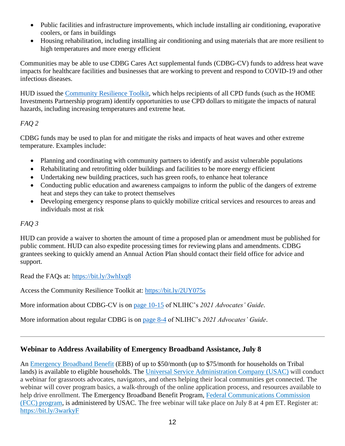- Public facilities and infrastructure improvements, which include installing air conditioning, evaporative coolers, or fans in buildings
- Housing rehabilitation, including installing air conditioning and using materials that are more resilient to high temperatures and more energy efficient

Communities may be able to use CDBG Cares Act supplemental funds (CDBG-CV) funds to address heat wave impacts for healthcare facilities and businesses that are working to prevent and respond to COVID-19 and other infectious diseases.

HUD issued the [Community Resilience Toolkit,](https://www.hudexchange.info/resource/5981/community-resilience-toolkit/) which helps recipients of all CPD funds (such as the HOME Investments Partnership program) identify opportunities to use CPD dollars to mitigate the impacts of natural hazards, including increasing temperatures and extreme heat.

## *FAQ 2*

CDBG funds may be used to plan for and mitigate the risks and impacts of heat waves and other extreme temperature. Examples include:

- Planning and coordinating with community partners to identify and assist vulnerable populations
- Rehabilitating and retrofitting older buildings and facilities to be more energy efficient
- Undertaking new building practices, such has green roofs, to enhance heat tolerance
- Conducting public education and awareness campaigns to inform the public of the dangers of extreme heat and steps they can take to protect themselves
- Developing emergency response plans to quickly mobilize critical services and resources to areas and individuals most at risk

## *FAQ 3*

HUD can provide a waiver to shorten the amount of time a proposed plan or amendment must be published for public comment. HUD can also expedite processing times for reviewing plans and amendments. CDBG grantees seeking to quickly amend an Annual Action Plan should contact their field office for advice and support.

Read the FAQs at:<https://bit.ly/3whIxq8>

Access the Community Resilience Toolkit at: <https://bit.ly/2UY075s>

More information about CDBG-CV is on [page 10-15](https://nlihc.org/sites/default/files/AG-2021/10-03_CDBG-CV.pdf) of NLIHC's *2021 Advocates' Guide*.

More information about regular CDBG is on [page 8-4](https://nlihc.org/sites/default/files/AG-2021/08-02_CDBG.pdf) of NLIHC's *2021 Advocates' Guide*.

# **Webinar to Address Availability of Emergency Broadband Assistance, July 8**

An [Emergency Broadband Benefit](https://www.fcc.gov/broadbandbenefit) (EBB) of up to \$50/month (up to \$75/month for households on Tribal lands) is available to eligible households. The [Universal Service Administration Company \(USAC\)](https://getemergencybroadband.org/) will conduct a webinar for grassroots advocates, navigators, and others helping their local communities get connected. The webinar will cover program basics, a walk-through of the online application process, and resources available to help drive enrollment. The Emergency Broadband Benefit Program, [Federal Communications Commission](https://www.fcc.gov/broadbandbenefit/)  [\(FCC\) program,](https://www.fcc.gov/broadbandbenefit/) is administered by USAC. The free webinar will take place on July 8 at 4 pm ET. Register at: <https://bit.ly/3warkyF>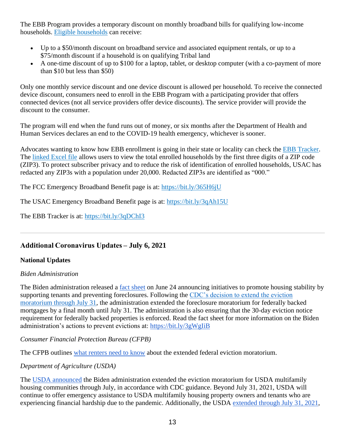The EBB Program provides a temporary discount on monthly broadband bills for qualifying low-income households. [Eligible households](https://getemergencybroadband.org/do-i-qualify/) can receive:

- Up to a \$50/month discount on broadband service and associated equipment rentals, or up to a \$75/month discount if a household is on qualifying Tribal land
- A one-time discount of up to \$100 for a laptop, tablet, or desktop computer (with a co-payment of more than \$10 but less than \$50)

Only one monthly service discount and one device discount is allowed per household. To receive the connected device discount, consumers need to enroll in the EBB Program with a participating provider that offers connected devices (not all service providers offer device discounts). The service provider will provide the discount to the consumer.

The program will end when the fund runs out of money, or six months after the Department of Health and Human Services declares an end to the COVID-19 health emergency, whichever is sooner.

Advocates wanting to know how EBB enrollment is going in their state or locality can check the [EBB Tracker.](https://www.usac.org/about/emergency-broadband-benefit-program/emergency-broadband-benefit-program-enrollments-and-claims-tracker/) The [linked Excel file](https://nam04.safelinks.protection.outlook.com/?url=https%3A%2F%2Fwww.usac.org%2Fwp-content%2Fuploads%2Fabout%2Fdocuments%2Febb-program%2FEBB_Enrollment_by_Zip3_6_29.xlsx&data=04%7C01%7C%7C86c396f206da4a1f77f308d93bd07d0f%7Cd9ab7747cd104372b0b3229c61592adf%7C0%7C0%7C637606588929421903%7CUnknown%7CTWFpbGZsb3d8eyJWIjoiMC4wLjAwMDAiLCJQIjoiV2luMzIiLCJBTiI6Ik1haWwiLCJXVCI6Mn0%3D%7C1000&sdata=DZI5a5JEnUcZ%2FP%2FYjSL3vwaTjwei9Ef3aoG2UUdhDcw%3D&reserved=0) allows users to view the total enrolled households by the first three digits of a ZIP code (ZIP3). To protect subscriber privacy and to reduce the risk of identification of enrolled households, USAC has redacted any ZIP3s with a population under 20,000. Redacted ZIP3s are identified as "000."

The FCC Emergency Broadband Benefit page is at:<https://bit.ly/365H6jU>

The USAC Emergency Broadband Benefit page is at:<https://bit.ly/3qAh15U>

The EBB Tracker is at:<https://bit.ly/3qDChI3>

# **Additional Coronavirus Updates – July 6, 2021**

#### **National Updates**

#### *Biden Administration*

The Biden administration released a [fact sheet](https://www.whitehouse.gov/briefing-room/statements-releases/2021/06/24/fact-sheet-biden-harris-administration-announces-initiatives-to-promote-housing-stability-by-supporting-vulnerable-tenants-and-preventing-foreclosures/) on June 24 announcing initiatives to promote housing stability by supporting tenants and preventing foreclosures. Following the [CDC's decision to extend the eviction](https://www.cdc.gov/coronavirus/2019-ncov/covid-eviction-declaration.html) [moratorium through July 31,](https://www.cdc.gov/coronavirus/2019-ncov/covid-eviction-declaration.html) the administration extended the foreclosure moratorium for federally backed mortgages by a final month until July 31. The administration is also ensuring that the 30-day eviction notice requirement for federally backed properties is enforced. Read the fact sheet for more information on the Biden administration's actions to prevent evictions at:<https://bit.ly/3gWgIiB>

*Consumer Financial Protection Bureau (CFPB)*

The CFPB outlines [what renters need to know](https://www.consumerfinance.gov/about-us/blog/cdc-eviction-moratorium-extended-one-month/) about the extended federal eviction moratorium.

## *Department of Agriculture (USDA)*

The [USDA announced](https://www.usda.gov/media/press-releases/2021/06/24/biden-harris-administration-extends-moratorium-residential) the Biden administration extended the eviction moratorium for USDA multifamily housing communities through July, in accordance with CDC guidance. Beyond July 31, 2021, USDA will continue to offer emergency assistance to USDA multifamily housing property owners and tenants who are experiencing financial hardship due to the pandemic. Additionally, the USDA [extended through July 31, 2021,](https://www.usda.gov/media/press-releases/2021/06/24/biden-harris-administration-extends-foreclosure-moratorium-provide)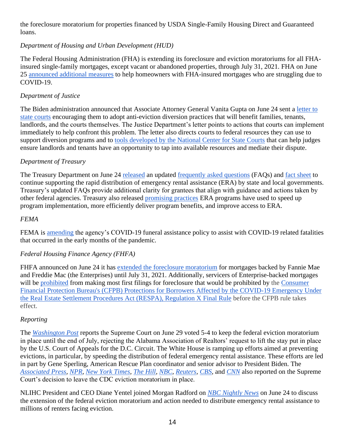the foreclosure moratorium for properties financed by USDA Single-Family Housing Direct and Guaranteed loans.

## *Department of Housing and Urban Development (HUD)*

The Federal Housing Administration (FHA) is extending its foreclosure and eviction moratoriums for all FHAinsured single-family mortgages, except vacant or abandoned properties, through July 31, 2021. FHA on June 25 [announced additional measures](https://www.hud.gov/press/press_releases_media_advisories/HUD_No_21_108) to help homeowners with FHA-insured mortgages who are struggling due to COVID-19.

## *Department of Justice*

The Biden administration announced that Associate Attorney General Vanita Gupta on June 24 sent a [letter to](https://www.justice.gov/asg/page/file/1405886/download)  [state courts](https://www.justice.gov/asg/page/file/1405886/download) encouraging them to adopt anti-eviction diversion practices that will benefit families, tenants, landlords, and the courts themselves. The Justice Department's letter points to actions that courts can implement immediately to help confront this problem. The letter also directs courts to federal resources they can use to support diversion programs and to [tools developed by the National Center for State Courts](https://www.ncsc.org/newsroom/public-health-emergency/implementation-lab/eviction-diversion-diagnostic-tool) that can help judges ensure landlords and tenants have an opportunity to tap into available resources and mediate their dispute.

## *Department of Treasury*

The Treasury Department on June 24 [released](https://home.treasury.gov/news/press-releases/jy0245) an updated [frequently asked questions](https://home.treasury.gov/system/files/136/ERA_FAQs_6-24-21.pdf) (FAQs) and [fact sheet](https://home.treasury.gov/system/files/136/Treasury_Fact_Sheet_6-24-21.pdf) to continue supporting the rapid distribution of emergency rental assistance (ERA) by state and local governments. Treasury's updated FAQs provide additional clarity for grantees that align with guidance and actions taken by other federal agencies. Treasury also released [promising practices](https://home.treasury.gov/policy-issues/coronavirus/assistance-for-state-local-and-tribal-governments/emergency-rental-assistance-program/promising-practices) ERA programs have used to speed up program implementation, more efficiently deliver program benefits, and improve access to ERA.

### *FEMA*

FEMA is [amending](https://www.fema.gov/press-release/20210629/fema-amends-covid-19-funeral-assistance-policy) the agency's COVID-19 funeral assistance policy to assist with COVID-19 related fatalities that occurred in the early months of the pandemic.

## *Federal Housing Finance Agency (FHFA)*

FHFA announced on June 24 it has [extended the foreclosure moratorium](https://www.fhfa.gov/Media/PublicAffairs/Pages/FHFA-Extends-COVID-19-Foreclosure-and-REO-Eviction-Moratoriums.aspx) for mortgages backed by Fannie Mae and Freddie Mac (the Enterprises) until July 31, 2021. Additionally, servicers of Enterprise-backed mortgages will be [prohibited](https://www.fhfa.gov/Media/PublicAffairs/Pages/FHFA-Protects-Borrowers-After-COVID-19-Foreclosure-and-REO-Eviction-Moratoriums-End.aspx) from making most first filings for foreclosure that would be prohibited by the Consumer [Financial Protection Bureau's \(CFPB\) Protections for Borrowers Affected by the COVID-19 Emergency Under](https://www.consumerfinance.gov/rules-policy/final-rules/protections-for-borrowers-affected-by-covid-19-under-respa/)  [the Real Estate Settlement Procedures Act \(RESPA\), Regulation X Final Rule](https://www.consumerfinance.gov/rules-policy/final-rules/protections-for-borrowers-affected-by-covid-19-under-respa/) before the CFPB rule takes effect.

## *Reporting*

The *[Washington Post](https://www.washingtonpost.com/politics/courts_law/cdc-eviction-moratorium-supreme-court/2021/06/29/19771b7e-d92d-11eb-8fb8-aea56b785b00_story.html)* reports the Supreme Court on June 29 voted 5-4 to keep the federal eviction moratorium in place until the end of July, rejecting the Alabama Association of Realtors' request to lift the stay put in place by the U.S. Court of Appeals for the D.C. Circuit. The White House is ramping up efforts aimed at preventing evictions, in particular, by speeding the distribution of federal emergency rental assistance. These efforts are led in part by Gene Sperling, American Rescue Plan coordinator and senior advisor to President Biden. The *[Associated Press](https://apnews.com/article/us-supreme-court-courts-supreme-courts-health-coronavirus-pandemic-157f6feec3197dd34cba492fd1b92f71)[,](https://www.npr.org/2021/06/29/1003268497/the-supreme-court-leaves-the-cdcs-moratorium-on-evictions-in-place) [NPR,](https://www.npr.org/2021/06/29/1003268497/the-supreme-court-leaves-the-cdcs-moratorium-on-evictions-in-place) [New York Times,](https://www.nytimes.com/2021/06/29/us/politics/supreme-court-eviction-ban.html) [The Hill](https://thehill.com/regulation/court-battles/560837-supreme-court-leaves-cdc-eviction-moratorium-intact)[,](https://apnews.com/article/us-supreme-court-courts-supreme-courts-health-coronavirus-pandemic-157f6feec3197dd34cba492fd1b92f71) [NBC,](https://apnews.com/article/us-supreme-court-courts-supreme-courts-health-coronavirus-pandemic-157f6feec3197dd34cba492fd1b92f71) [Reuters,](https://www.reuters.com/world/us/us-supreme-court-maintains-cdcs-pandemic-related-residential-eviction-ban-2021-06-29/) [CBS,](https://www.cbsnews.com/news/supreme-court-cdc-eviction-moratorium/)* and *[CNN](https://www.cnn.com/2021/06/29/politics/supreme-court-eviction-moratorium-cdc/index.html)* also reported on the Supreme Court's decision to leave the CDC eviction moratorium in place.

NLIHC President and CEO Diane Yentel joined Morgan Radford on *[NBC Nightly News](https://twitter.com/NLIHC/status/1408226308128137219)* on June 24 to discuss the extension of the federal eviction moratorium and action needed to distribute emergency rental assistance to millions of renters facing eviction.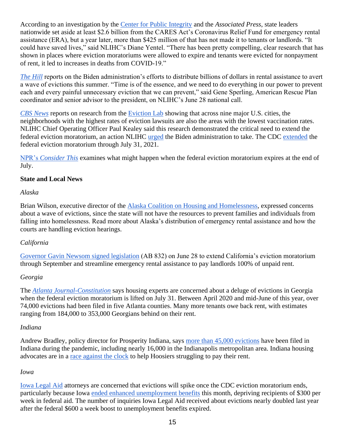According to an investigation by the [Center for Public Integrity](https://publicintegrity.org/inequality-poverty-opportunity/covid-divide/rental-assistance-did-not-go-to-tenants-landlords/) and the *Associated Press*, state leaders nationwide set aside at least \$2.6 billion from the CARES Act's Coronavirus Relief Fund for emergency rental assistance (ERA), but a year later, more than \$425 million of that has not made it to tenants or landlords. "It could have saved lives," said NLIHC's Diane Yentel. "There has been pretty compelling, clear research that has shown in places where eviction moratoriums were allowed to expire and tenants were evicted for nonpayment of rent, it led to increases in deaths from COVID-19."

*[The Hill](https://thehill.com/policy/finance/560636-biden-officials-scramble-to-avert-august-eviction-wave)* reports on the Biden administration's efforts to distribute billions of dollars in rental assistance to avert a wave of evictions this summer. "Time is of the essence, and we need to do everything in our power to prevent each and every painful unnecessary eviction that we can prevent," said Gene Sperling, American Rescue Plan coordinator and senior advisor to the president, on NLIHC's June 28 national call.

*[CBS News](https://www.cbsnews.com/news/eviction-vaccination-rates-americans-most-threatened-by-eviction-are-least-likely-to-be-vaccinated/)* reports on research from the [Eviction Lab](https://evictionlab.org/filing-and-vaccination-rates/) showing that across nine major U.S. cities, the neighborhoods with the highest rates of eviction lawsuits are also the areas with the lowest vaccination rates. NLIHC Chief Operating Officer Paul Kealey said this research demonstrated the critical need to extend the federal eviction moratorium, an action NLIHC [urged](https://nlihc.org/sites/default/files/NLIHC-and-DHRC-letter-to-Biden-Administration-re-Eviction-Moratorium-and-ERA.pdf) the Biden administration to take. The CDC [extended](https://www.cdc.gov/coronavirus/2019-ncov/covid-eviction-declaration.html) the federal eviction moratorium through July 31, 2021.

[NPR's](https://www.wbur.org/onpoint/2021/06/29/eviction-moratorium-extended-what-happens-when-it-expires) *[Consider This](https://www.wbur.org/onpoint/2021/06/29/eviction-moratorium-extended-what-happens-when-it-expires)* examines what might happen when the federal eviction moratorium expires at the end of July.

#### **State and Local News**

#### *Alaska*

Brian Wilson, executive director of the [Alaska Coalition on Housing and Homelessness,](https://apnews.com/article/ak-state-wire-alaska-coronavirus-pandemic-health-government-and-politics-aeb3a1a1ded905e084bdfc129fbdf211) expressed concerns about a wave of evictions, since the state will not have the resources to prevent families and individuals from falling into homelessness. Read more about Alaska's distribution of emergency rental assistance and how the courts are handling eviction hearings.

#### *California*

[Governor Gavin Newsom signed legislation](https://www.gov.ca.gov/2021/06/28/governor-newsom-signs-nation-leading-rent-relief-program-for-low-income-tenants-eviction-moratorium-extension-additional-legislation/) (AB 832) on June 28 to extend California's eviction moratorium through September and streamline emergency rental assistance to pay landlords 100% of unpaid rent.

#### *Georgia*

The *[Atlanta Journal-Constitution](https://www.ajc.com/news/housing-experts-july-moratorium-end-could-mean-flood-of-evictions/WPMRN6RNX5BY3P5JEQGZ2RUXX4/)* says housing experts are concerned about a deluge of evictions in Georgia when the federal eviction moratorium is lifted on July 31. Between April 2020 and mid-June of this year, over 74,000 evictions had been filed in five Atlanta counties. Many more tenants owe back rent, with estimates ranging from 184,000 to 353,000 Georgians behind on their rent.

#### *Indiana*

Andrew Bradley, policy director for Prosperity Indiana, says [more than 45,000 evictions](https://fox59.com/news/how-indiana-evictions-could-surge-after-the-moratorium-ends-next-month/) have been filed in Indiana during the pandemic, including nearly 16,000 in the Indianapolis metropolitan area. Indiana housing advocates are in a [race against the clock](https://indianapublicmedia.org/news/concerns-linger-even-after-final-extension-of-cdcs-eviction-moratorium.php) to help Hoosiers struggling to pay their rent.

#### *Iowa*

[Iowa Legal Aid](https://www.iowapublicradio.org/ipr-news/2021-06-28/explainer-iowa-wary-of-evictions-as-renter-protections-end) attorneys are concerned that evictions will spike once the CDC eviction moratorium ends, particularly because Iowa [ended enhanced unemployment benefits](https://www.iowapublicradio.org/news-from-npr/2021-06-03/half-of-states-are-ending-pandemic-jobless-aid-early-and-the-economy-could-suffer) this month, depriving recipients of \$300 per week in federal aid. The number of inquiries Iowa Legal Aid received about evictions nearly doubled last year after the federal \$600 a week boost to unemployment benefits expired.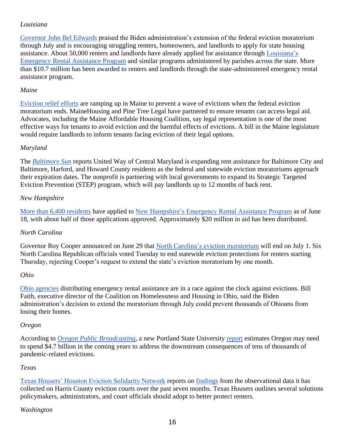### *Louisiana*

[Governor John Bel Edwards](https://gov.louisiana.gov/index.cfm/newsroom/detail/3246) praised the Biden administration's extension of the federal eviction moratorium through July and is encouraging struggling renters, homeowners, and landlords to apply for state housing assistance. About 50,000 renters and landlords have already applied for assistance through [Louisiana's](https://www.lastaterent.com/)  [Emergency Rental Assistance Program](https://www.lastaterent.com/) and similar programs administered by parishes across the state. More than \$10.7 million has been awarded to renters and landlords through the state-administered emergency rental assistance program.

#### *Maine*

[Eviction relief efforts](https://www.mainebiz.biz/article/eviction-relief-efforts-ramp-up-in-maine-as-end-of-ban-looms) are ramping up in Maine to prevent a wave of evictions when the federal eviction moratorium ends. MaineHousing and Pine Tree Legal have partnered to ensure tenants can access legal aid. Advocates, including the Maine Affordable Housing Coalition, say legal representation is one of the most effective ways for tenants to avoid eviction and the harmful effects of evictions. A bill in the Maine legislature would require landlords to inform tenants facing eviction of their legal options.

#### *Maryland*

The *[Baltimore Sun](https://www.baltimoresun.com/maryland/bs-md-united-way-eviction-relief-20210629-4aqjmqh73vhvpmc6l6ctraxofa-story.html)* reports United Way of Central Maryland is expanding rent assistance for Baltimore City and Baltimore, Harford, and Howard County residents as the federal and statewide eviction moratoriums approach their expiration dates. The nonprofit is partnering with local governments to expand its Strategic Targeted Eviction Prevention (STEP) program, which will pay landlords up to 12 months of back rent.

#### *New Hampshire*

[More than 6,400 residents](https://www.sentinelsource.com/news/local/how-to-find-housing-assistance-in-new-hampshire-before-the-federal-eviction-ban-expires/article_2f66087e-635d-5aef-8883-b2cde51fcc34.html) have applied to [New Hampshire's Emergency Rental Assistance Program](https://www.capnh.org/) as of June 18, with about half of those applications approved. Approximately \$20 million in aid has been distributed.

#### *North Carolina*

Governor Roy Cooper announced on June 29 that [North Carolina's eviction moratorium](https://www.wsoctv.com/news/local/gov-cooper-expected-decide-whether-extend-eviction-moratorium-this-week/YWRD6P5ZARAB5O3KAQ5H2BL4LA/) will end on July 1. Six North Carolina Republican officials voted Tuesday to end statewide eviction protections for renters starting Thursday, rejecting Cooper's request to extend the state's eviction moratorium by one month.

#### *Ohio*

[Ohio agencies](https://www.daytondailynews.com/local/agencies-distributing-rent-aid-in-race-against-evictions/PU7KXUNCQZHHXHHAMPAWZLKEG4/) distributing emergency rental assistance are in a race against the clock against evictions. Bill Faith, executive director of the Coalition on Homelessness and Housing in Ohio, said the Biden administration's decision to extend the moratorium through July could prevent thousands of Ohioans from losing their homes.

#### *Oregon*

According to *[Oregon Public Broadcasting,](https://www.opb.org/article/2021/06/28/report-cost-of-evictions-in-oregon-could-hit-4-billion-dollars/)* a new Portland State University [report](https://www.pdx.edu/homelessness/sites/g/files/znldhr1791/files/2021-06/Report.pdf) estimates Oregon may need to spend \$4.7 billion in the coming years to address the downstream consequences of tens of thousands of pandemic-related evictions.

#### *Texas*

[Texas Housers' Houston Eviction Solidarity Network](https://houstonevictionsolidarity.org/) reports on [findings](https://texashousers.org/2021/06/25/hesn-cdc-eviction-moratorium-needs/) from the observational data it has collected on Harris County eviction courts over the past seven months. Texas Housers outlines several solutions policymakers, administrators, and court officials should adopt to better protect renters.

#### *Washington*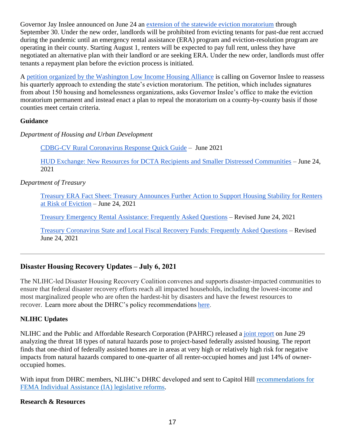Governor Jay Inslee announced on June 24 an [extension of the statewide eviction moratorium](https://www.seattletimes.com/seattle-news/politics/inslee-extends-eviction-moratorium-in-washington-through-sept-30/) through September 30. Under the new order, landlords will be prohibited from evicting tenants for past-due rent accrued during the pandemic until an emergency rental assistance (ERA) program and eviction-resolution program are operating in their county. Starting August 1, renters will be expected to pay full rent, unless they have negotiated an alternative plan with their landlord or are seeking ERA. Under the new order, landlords must offer tenants a repayment plan before the eviction process is initiated.

A [petition organized by the Washington Low Income Housing Alliance](https://www.columbian.com/news/2021/jun/29/clark-county-groups-join-in-petition-asking-inslee-to-make-eviction-ban-permanent/) is calling on Governor Inslee to reassess his quarterly approach to extending the state's eviction moratorium. The petition, which includes signatures from about 150 housing and homelessness organizations, asks Governor Inslee's office to make the eviction moratorium permanent and instead enact a plan to repeal the moratorium on a county-by-county basis if those counties meet certain criteria.

### **Guidance**

*Department of Housing and Urban Development*

[CDBG-CV Rural Coronavirus Response Quick Guide](https://www.hudexchange.info/resource/6331/cdbg-cv-rural-coronavirus-response-quick-guide/) – June 2021

[HUD Exchange: New Resources for DCTA Recipients and Smaller Distressed Communities](https://mailchi.mp/hudexchange/new-resources-for-dcta-recipients-and-smaller-distressed-communities-06-24-21) – June 24, 2021

### *Department of Treasury*

[Treasury ERA Fact Sheet: Treasury Announces Further Action to Support Housing Stability for Renters](https://home.treasury.gov/system/files/136/Treasury_Fact_Sheet_6-24-21.pdf)  [at Risk of Eviction](https://home.treasury.gov/system/files/136/Treasury_Fact_Sheet_6-24-21.pdf) – June 24, 2021

[Treasury Emergency Rental Assistance:](https://home.treasury.gov/system/files/136/ERA_FAQs_6-24-21.pdf) Frequently Asked Questions – Revised June 24, 2021

[Treasury Coronavirus State and Local Fiscal Recovery Funds: Frequently Asked Questions](https://home.treasury.gov/system/files/136/SLFRPFAQ.pdf) – Revised June 24, 2021

# **Disaster Housing Recovery Updates – July 6, 2021**

The NLIHC-led Disaster Housing Recovery Coalition convenes and supports disaster-impacted communities to ensure that federal disaster recovery efforts reach all impacted households, including the lowest-income and most marginalized people who are often the hardest-hit by disasters and have the fewest resources to recover.  Learn more about the DHRC's policy recommendations [here.](https://nlihc.org/explore-issues/projects-campaigns/disaster-housing-recovery/policy) 

## **NLIHC Updates**

NLIHC and the Public and Affordable Research Corporation (PAHRC) released a [joint report](https://preservationdatabase.org/reports/taking-stock/) on June 29 analyzing the threat 18 types of natural hazards pose to project-based federally assisted housing. The report finds that one-third of federally assisted homes are in areas at very high or relatively high risk for negative impacts from natural hazards compared to one-quarter of all renter-occupied homes and just 14% of owneroccupied homes.

With input from DHRC members, NLIHC's DHRC developed and sent to Capitol Hill [recommendations](https://nlihc.org/sites/default/files/FEMA-IA-Reforms-for-Potential-Legislation.pdf) for [FEMA Individual Assistance \(IA\) legislative reforms.](https://nlihc.org/sites/default/files/FEMA-IA-Reforms-for-Potential-Legislation.pdf)

## **Research & Resources**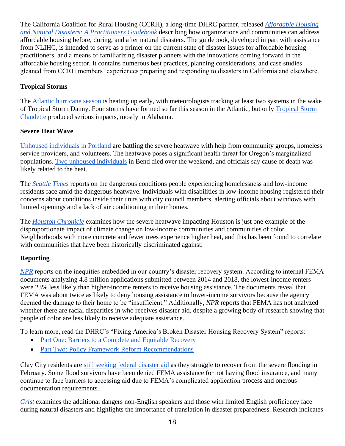The California Coalition for Rural Housing (CCRH), a long-time DHRC partner, released *Affordable Housing [and Natural Disasters: A Practitioners Guidebook](https://aeae507d-e90c-449b-9332-a6e33d13c0ca.filesusr.com/ugd/8d7a46_cc3ed4823a734829b8a2c8d5278c9b98.pdf)* describing how organizations and com[munities can address](https://aeae507d-e90c-449b-9332-a6e33d13c0ca.filesusr.com/ugd/8d7a46_cc3ed4823a734829b8a2c8d5278c9b98.pdf)  affordable housing before, during, and after natural disasters. The guidebook, developed in part with assistance from NLIHC, is intended to serve as a primer on the current state of disaster issues for affordable housing practitioners, and a means of familiarizing disaster planners with the innovations coming forward in the affordable housing sector. It contains numerous best practices, planning considerations, and case studies gleaned from CCRH members' experiences preparing and responding to disasters in California and elsewhere.

## **Tropical Storms**

The [Atlantic hurricane season](https://www.washingtonpost.com/weather/2021/06/29/tropical-atlantic-hurricane-systems/) is heating up early, with meteorologists tracking at least two systems in the wake of Tropical Storm Danny. Four storms have formed so far this season in the Atlantic, but only [Tropical Storm](https://www.washingtonpost.com/weather/2021/06/21/tropical-storm-claudette-north-carolina/?itid=lk_inline_manual_6)  [Claudette](https://www.washingtonpost.com/weather/2021/06/21/tropical-storm-claudette-north-carolina/?itid=lk_inline_manual_6) produced serious impacts, mostly in Alabama.

## **Severe Heat Wave**

[Unhoused individuals in Portland](https://www.oregonlive.com/weather/2021/06/unhoused-battle-portland-heat-wave-with-help-from-housed-neighbors.html) are battling the severe heatwave with help from community groups, homeless service providers, and volunteers. The heatwave poses a significant health threat for Oregon's marginalized populations. [Two unhoused individuals](https://www.opb.org/article/2021/06/28/2-men-found-dead-at-bend-houseless-camp-city-declares-heat-related-state-of-emergency/) in Bend died over the weekend, and officials say cause of death was likely related to the heat.

The *[Seattle Times](https://www.seattletimes.com/seattle-news/homeless/as-city-grapples-with-extreme-heat-homeless-seattleites-face-dangerous-conditions/)* reports on the dangerous conditions people experiencing homelessness and low-income residents face amid the dangerous heatwave. Individuals with disabilities in low-income housing registered their concerns about conditions inside their units with city council members, alerting officials about windows with limited openings and a lack of air conditioning in their homes.

The *[Houston Chronicle](https://www.houstonchronicle.com/news/houston-texas/houston/article/heat-wave-climate-change-weather-hot-16253682.php)* examines how the severe heatwave impacting Houston is just one example of the disproportionate impact of climate change on low-income communities and communities of color. Neighborhoods with more concrete and fewer trees experience higher heat, and this has been found to correlate with communities that have been historically discriminated against.

# **Reporting**

*[NPR](https://www.npr.org/2021/06/29/1004347023/why-fema-aid-is-unavailable-to-many-who-need-it-the-most)* reports on the inequities embedded in our country's disaster recovery system. According to internal FEMA documents analyzing 4.8 million applications submitted between 2014 and 2018, the lowest-income renters were 23% less likely than higher-income renters to receive housing assistance. The documents reveal that FEMA was about twice as likely to deny housing assistance to lower-income survivors because the agency deemed the damage to their home to be "insufficient." Additionally, *NPR* reports that FEMA has not analyzed whether there are racial disparities in who receives disaster aid, despite a growing body of research showing that people of color are less likely to receive adequate assistance.

To learn more, read the DHRC's "Fixing America's Broken Disaster Housing Recovery System" reports:

- [Part One: Barriers to a Complete and Equitable Recovery](https://nlihc.org/sites/default/files/Fixing-Americas-Broken-Disaster-Housing-Recovery-System_P1.pdf)
- [Part Two: Policy Framework Reform Recommendations](https://nlihc.org/sites/default/files/Fixing-Americas-Broken-Disaster-Housing-Recovery-System_P2.pdf)

Clay City residents are [still seeking federal](https://www.kentucky.com/news/state/kentucky/article251586838.html) disaster aid as they struggle to recover from the severe flooding in February. Some flood survivors have been denied FEMA assistance for not having flood insurance, and many continue to face barriers to accessing aid due to FEMA's complicated application process and onerous documentation requirements.

*[Grist](https://grist.org/language/wildfires-hurricanes-translation-language-gap/amp/)* examines the additional dangers non-English speakers and those with limited English proficiency face during natural disasters and highlights the importance of translation in disaster preparedness. Research indicates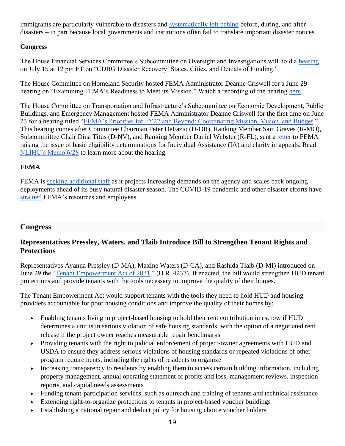immigrants are particularly vulnerable to disasters and [systematically left behind](https://www.sciencedirect.com/science/article/abs/pii/S0016718520301925?via%3Dihub) before, during, and after disasters – in part because local governments and institutions often fail to translate important disaster notices.

### **Congress**

The House Financial Services Committee's Subcommittee on Oversight and Investigations will hold a [hearing](https://financialservices.house.gov/news/documentsingle.aspx?DocumentID=408083) on July 15 at 12 pm ET on "CDBG Disaster Recovery: States, Cities, and Denials of Funding."

The House Committee on Homeland Security hosted FEMA Administrator Deanne Criswell for a June 29 hearing on "Examining FEMA's Readiness to Meet its Mission." Watch a recording of the hearing [here.](https://homeland.house.gov/activities/hearings/examining-femas-readiness-to-meet-its-mission)

The House Committee on Transportation and Infrastructure's Subcommittee on Economic Development, Public Buildings, and Emergency Management hosted FEMA Administrator Deanne Criswell for the first time on June 23 for a hearing titled ["FEMA's Priorities for FY22 and Beyond: Coordinating Mission, Vision, and Budget.](https://transportation.house.gov/committee-activity/hearings/femas-priorities-for-fy22-and-beyond-coordinating-mission-vision-and-budget)" This hearing comes after Committee Chairman Peter DeFazio (D-OR), Ranking Member Sam Graves (R-MO), Subcommittee Chair Dina Titus (D-NV), and Ranking Member Daniel Webster (R-FL), sent a [letter](https://republicans-transportation.house.gov/uploadedfiles/2021-05-13_letter_to_fema_re_ihp_denials.pdf) to FEMA raising the issue of basic eligibility determinations for Individual Assistance (IA) and clarity in appeals. Read [NLIHC's Memo 6/28](https://nlihc.org/resource/house-committee-members-express-frustration-hearing-fema-administrator) to learn more about the hearing.

## **FEMA**

FEMA is [seeking additional staff](https://www.govexec.com/workforce/2021/06/fema-seeks-more-staff-it-rests-beleaguered-employees-ahead-busy-season/174920/) as it projects increasing demands on the agency and scales back ongoing deployments ahead of its busy natural disaster season. The COVID-19 pandemic and other disaster efforts have [strained](https://www.govexec.com/management/2021/04/hurricane-season-looming-fema-aims-stave-burnout-after-tiresome-year/173530/) FEMA's resources and employees.

## **Congress**

## **Representatives Pressley, Waters, and Tlaib Introduce Bill to Strengthen Tenant Rights and Protections**

Representatives Ayanna Pressley (D-MA), Maxine Waters (D-CA), and Rashida Tlaib (D-MI) introduced on June 29 the ["Tenant Empowerment Act of 2021,](https://www.congress.gov/bill/117th-congress/house-bill/4237)" (H.R. 4237). If enacted, the bill would strengthen HUD tenant protections and provide tenants with the tools necessary to improve the quality of their homes.

The Tenant Empowerment Act would support tenants with the tools they need to hold HUD and housing providers accountable for poor housing conditions and improve the quality of their homes by:

- Enabling tenants living in project-based housing to hold their rent contribution in escrow if HUD determines a unit is in serious violation of safe housing standards, with the option of a negotiated rent release if the project owner reaches measurable repair benchmarks
- Providing tenants with the right to judicial enforcement of project-owner agreements with HUD and USDA to ensure they address serious violations of housing standards or repeated violations of other program requirements, including the rights of residents to organize
- Increasing transparency to residents by enabling them to access certain building information, including property management, annual operating statement of profits and loss, management reviews, inspection reports, and capital needs assessments
- Funding tenant-participation services, such as outreach and training of tenants and technical assistance
- Extending right-to-organize protections to tenants in project-based voucher buildings
- Establishing a national repair and deduct policy for housing choice voucher holders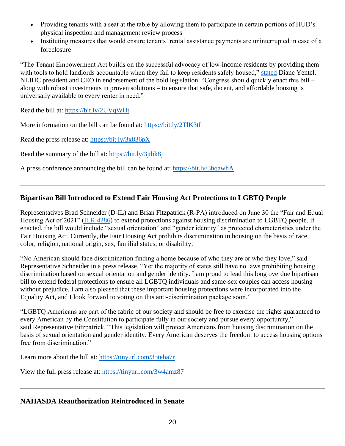- Providing tenants with a seat at the table by allowing them to participate in certain portions of HUD's physical inspection and management review process
- Instituting measures that would ensure tenants' rental assistance payments are uninterrupted in case of a foreclosure

"The Tenant Empowerment Act builds on the successful advocacy of low-income residents by providing them with tools to hold landlords accountable when they fail to keep residents safely housed," [stated](https://tlaib.house.gov/media/press-releases/tlaib-pressley-waters-unveil-sweeping-legislation-strengthen-tenants-rights-and) Diane Yentel, NLIHC president and CEO in endorsement of the bold legislation. "Congress should quickly enact this bill – along with robust investments in proven solutions – to ensure that safe, decent, and affordable housing is universally available to every renter in need."

Read the bill at:<https://bit.ly/2UVqWHt>

More information on the bill can be found at:<https://bit.ly/2TlK3tL>

Read the press release at:<https://bit.ly/3x836pX>

Read the summary of the bill at:<https://bit.ly/3jtbk8j>

A press conference announcing the bill can be found at:<https://bit.ly/3hqawhA>

## **Bipartisan Bill Introduced to Extend Fair Housing Act Protections to LGBTQ People**

Representatives Brad Schneider (D-IL) and Brian Fitzpatrick (R-PA) introduced on June 30 the "Fair and Equal Housing Act of 2021" [\(H.R.4286\)](https://www.congress.gov/bill/117th-congress/house-bill/4286/) to extend protections against housing discrimination to LGBTQ people. If enacted, the bill would include "sexual orientation" and "gender identity" as protected characteristics under the Fair Housing Act. Currently, the Fair Housing Act prohibits discrimination in housing on the basis of race, color, religion, national origin, sex, familial status, or disability.

"No American should face discrimination finding a home because of who they are or who they love," said Representative Schneider in a press release. "Yet the majority of states still have no laws prohibiting housing discrimination based on sexual orientation and gender identity. I am proud to lead this long overdue bipartisan bill to extend federal protections to ensure all LGBTQ individuals and same-sex couples can access housing without prejudice. I am also pleased that these important housing protections were incorporated into the Equality Act, and I look forward to voting on this anti-discrimination package soon."

"LGBTQ Americans are part of the fabric of our society and should be free to exercise the rights guaranteed to every American by the Constitution to participate fully in our society and pursue every opportunity," said Representative Fitzpatrick. "This legislation will protect Americans from housing discrimination on the basis of sexual orientation and gender identity. Every American deserves the freedom to access housing options free from discrimination."

Learn more about the bill at:<https://tinyurl.com/35teba7r>

View the full press release at:<https://tinyurl.com/3w4amz87>

## **NAHASDA Reauthorization Reintroduced in Senate**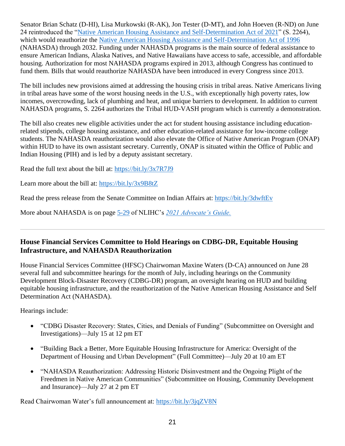Senator Brian Schatz (D-HI), Lisa Murkowski (R-AK), Jon Tester (D-MT), and John Hoeven (R-ND) on June 24 reintroduced the ["Native American Housing Assistance and Self-Determination Act of 2021"](https://bit.ly/3x9B8tZ) (S. 2264), which would reauthorize the [Native American Housing Assistance and Self-Determination Act of 1996](https://www.congress.gov/bill/104th-congress/house-bill/3219) (NAHASDA) through 2032. Funding under NAHASDA programs is the main source of federal assistance to ensure American Indians, Alaska Natives, and Native Hawaiians have access to safe, accessible, and affordable housing. Authorization for most NAHASDA programs expired in 2013, although Congress has continued to fund them. Bills that would reauthorize NAHASDA have been introduced in every Congress since 2013.

The bill includes new provisions aimed at addressing the housing crisis in tribal areas. Native Americans living in tribal areas have some of the worst housing needs in the U.S., with exceptionally high poverty rates, low incomes, overcrowding, lack of plumbing and heat, and unique barriers to development. In addition to current NAHASDA programs, S. 2264 authorizes the Tribal HUD-VASH program which is currently a demonstration.

The bill also creates new eligible activities under the act for student housing assistance including educationrelated stipends, college housing assistance, and other education-related assistance for low-income college students. The NAHASDA reauthorization would also elevate the Office of Native American Program (ONAP) within HUD to have its own assistant secretary. Currently, ONAP is situated within the Office of Public and Indian Housing (PIH) and is led by a deputy assistant secretary.

Read the full text about the bill at:<https://bit.ly/3x7R7J9>

Learn more about the bill at:<https://bit.ly/3x9B8tZ>

Read the press release from the Senate Committee on Indian Affairs at:<https://bit.ly/3dwftEv>

More about NAHASDA is on page [5-29](https://nlihc.org/sites/default/files/AG-2021/05-06_Native-Housing-Programs.pdf) of NLIHC's *[2021 Advocate's Guide.](https://nlihc.org/explore-issues/publications-research/advocates-guide)*

# **House Financial Services Committee to Hold Hearings on CDBG-DR, Equitable Housing Infrastructure, and NAHASDA Reauthorization**

House Financial Services Committee (HFSC) Chairwoman Maxine Waters (D-CA) announced on June 28 several full and subcommittee hearings for the month of July, including hearings on the Community Development Block-Disaster Recovery (CDBG-DR) program, an oversight hearing on HUD and building equitable housing infrastructure, and the reauthorization of the Native American Housing Assistance and Self Determination Act (NAHASDA).

Hearings include:

- "CDBG Disaster Recovery: States, Cities, and Denials of Funding" (Subcommittee on Oversight and Investigations)—July 15 at 12 pm ET
- "Building Back a Better, More Equitable Housing Infrastructure for America: Oversight of the Department of Housing and Urban Development" (Full Committee)—July 20 at 10 am ET
- "NAHASDA Reauthorization: Addressing Historic Disinvestment and the Ongoing Plight of the Freedmen in Native American Communities" (Subcommittee on Housing, Community Development and Insurance)—July 27 at 2 pm ET

Read Chairwoman Water's full announcement at:<https://bit.ly/3jqZV8N>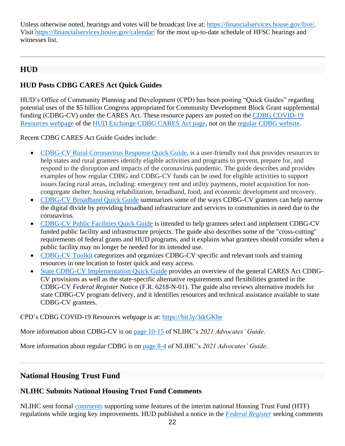Unless otherwise noted, hearings and votes will be broadcast live at: [https://financialservices.house.gov/live/.](https://financialservices.house.gov/live/) Visit <https://financialservices.house.gov/calendar/> for the most up-to-date schedule of HFSC hearings and witnesses list.

# **HUD**

# **HUD Posts CDBG CARES Act Quick Guides**

HUD's Office of Community Planning and Development (CPD) has been posting "Quick Guides" regarding potential uses of the \$5 billion Congress appropriated for Community Development Block Grant supplemental funding (CDBG-CV) under the CARES Act. These resource papers are posted on the [CDBG COVID-19](https://www.hudexchange.info/programs/cdbg/disease/)  [Resources webpage](https://www.hudexchange.info/programs/cdbg/disease/) of the [HUD Exchange CDBG CARES Act page,](https://www.hudexchange.info/programs/cdbg-cv/?utm_source=HUD+Exchange+Mailing+List&utm_campaign=7bc2079196-CDBG-CV-Website-Now-Available-10.8.20&utm_medium=email&utm_term=0_f32b935a5f-7bc2079196-19351509) not on the [regular CDBG website.](https://www.hud.gov/program_offices/comm_planning)

Recent CDBG CARES Act Guide Guides include:

- [CDBG-CV Rural Coronavirus Response Quick Guide,](https://nam04.safelinks.protection.outlook.com/?url=https%3A%2F%2Fhudexchange.us5.list-manage.com%2Ftrack%2Fclick%3Fu%3D87d7c8afc03ba69ee70d865b9%26id%3D6993054bd0%26e%3D7807d49d71&data=04%7C01%7C%7Cdb0f5a7f99184c648bbf08d93a5358aa%7Cd9ab7747cd104372b0b3229c61592adf%7C0%7C0%7C637604951909768359%7CUnknown%7CTWFpbGZsb3d8eyJWIjoiMC4wLjAwMDAiLCJQIjoiV2luMzIiLCJBTiI6Ik1haWwiLCJXVCI6Mn0%3D%7C1000&sdata=y5eX2IjBBG1VpQW8fW6TmQriAQC34QvXd1U%2FimlMIbA%3D&reserved=0) is a user-friendly tool that provides resources to help states and rural grantees identify eligible activities and programs to prevent, prepare for, and respond to the disruption and impacts of the coronavirus pandemic. The guide describes and provides examples of how regular CDBG and CDBG-CV funds can be used for eligible activities to support issues facing rural areas, including: emergency rent and utility payments, motel acquisition for noncongregate shelter, housing rehabilitation, broadband, food, and economic development and recovery.
- [CDBG-CV Broadband Quick Guide](https://www.hudexchange.info/resource/6329/cdbg-cv-broadband-quick-guide/) summarizes some of the ways CDBG-CV grantees can help narrow the digital divide by providing broadband infrastructure and services to communities in need due to the coronavirus.
- [CDBG-CV Public Facilities Quick Guide](https://www.hudexchange.info/resource/6324/cdbg-cv-public-facilities-quick-guide/) is intended to help grantees select and implement CDBG-CV funded public facility and infrastructure projects. The guide also describes some of the "cross-cutting" requirements of federal grants and HUD programs, and it explains what grantees should consider when a public facility may no longer be needed for its intended use.
- [CDBG-CV Toolkit](https://www.hudexchange.info/programs/cdbg-cv/cdbg-cv-toolkit/) categorizes and organizes CDBG-CV specific and relevant tools and training resources in one location to foster quick and easy access.
- [State CDBG-CV Implementation Quick Guide](https://www.hudexchange.info/resource/6316/state-cdbg-cv-implementation-quick-guide/) provides an overview of the general CARES Act CDBG-CV provisions as well as the state-specific alternative requirements and flexibilities granted in the CDBG-CV *Federal Register* Notice (F.R. 6218-N-01). The guide also reviews alternative models for state CDBG-CV program delivery, and it identifies resources and technical assistance available to state CDBG-CV grantees.

CPD's CDBG COVID-19 Resources webpage is at:<https://bit.ly/3drGKbe>

More information about CDBG-CV is on [page 10-15](https://nlihc.org/sites/default/files/AG-2021/10-03_CDBG-CV.pdf) of NLIHC's *2021 Advocates' Guide*.

More information about regular CDBG is on [page 8-4](https://nlihc.org/sites/default/files/AG-2021/08-02_CDBG.pdf) of NLIHC's *2021 Advocates' Guide*.

# **National Housing Trust Fund**

## **NLIHC Submits National Housing Trust Fund Comments**

NLIHC sent formal [comments](https://nlihc.org/sites/default/files/NLIHC-Comment-Letter-HTF-June-25-2021.pdf) supporting some features of the interim national Housing Trust Fund (HTF) regulations while urging key improvements. HUD published a notice in the *[Federal Register](https://www.govinfo.gov/content/pkg/FR-2021-04-26/pdf/2021-08529.pdf)* seeking comments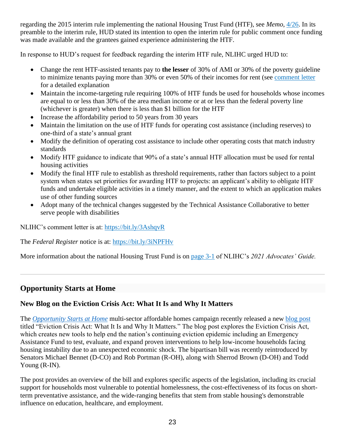regarding the 2015 interim rule implementing the national Housing Trust Fund (HTF), see *Memo*, [4/26.](https://nlihc.org/resource/hud-cpd-requests-public-comment-2015-interim-housing-trust-fund-rule) In its preamble to the interim rule, HUD stated its intention to open the interim rule for public comment once funding was made available and the grantees gained experience administering the HTF.

In response to HUD's request for feedback regarding the interim HTF rule, NLIHC urged HUD to:

- Change the rent HTF-assisted tenants pay to **the lesser** of 30% of AMI or 30% of the poverty guideline to minimize tenants paying more than 30% or even 50% of their incomes for rent (see [comment letter](https://bit.ly/3AshqvR) for a detailed explanation
- Maintain the income-targeting rule requiring 100% of HTF funds be used for households whose incomes are equal to or less than 30% of the area median income or at or less than the federal poverty line (whichever is greater) when there is less than \$1 billion for the HTF
- Increase the affordability period to 50 years from 30 years
- Maintain the limitation on the use of HTF funds for operating cost assistance (including reserves) to one-third of a state's annual grant
- Modify the definition of operating cost assistance to include other operating costs that match industry standards
- Modify HTF guidance to indicate that 90% of a state's annual HTF allocation must be used for rental housing activities
- Modify the final HTF rule to establish as threshold requirements, rather than factors subject to a point system when states set priorities for awarding HTF to projects: an applicant's ability to obligate HTF funds and undertake eligible activities in a timely manner, and the extent to which an application makes use of other funding sources
- Adopt many of the technical changes suggested by the Technical Assistance Collaborative to better serve people with disabilities

NLIHC's comment letter is at:<https://bit.ly/3AshqvR>

The *Federal Register* notice is at:<https://bit.ly/3iNPFHv>

More information about the national Housing Trust Fund is on [page 3-1](https://nlihc.org/sites/default/files/AG-2021/03-01_NHTF.pdf) of NLIHC's *2021 Advocates' Guide.*

# **Opportunity Starts at Home**

## **New Blog on the Eviction Crisis Act: What It Is and Why It Matters**

The *[Opportunity Starts at Home](http://www.opportunityhome.org/)* multi-sector affordable homes campaign recently released a new [blog post](https://www.opportunityhome.org/resources/eviction-crisis-act-what-it-is-and-why-it-matters/) titled "Eviction Crisis Act: What It Is and Why It Matters." The blog post explores the Eviction Crisis Act, which creates new tools to help end the nation's continuing eviction epidemic including an Emergency Assistance Fund to test, evaluate, and expand proven interventions to help low-income households facing housing instability due to an unexpected economic shock. The bipartisan bill was recently reintroduced by Senators Michael Bennet (D-CO) and Rob Portman (R-OH), along with Sherrod Brown (D-OH) and Todd Young (R-IN).

The post provides an overview of the bill and explores specific aspects of the legislation, including its crucial support for households most vulnerable to potential homelessness, the cost-effectiveness of its focus on shortterm preventative assistance, and the wide-ranging benefits that stem from stable housing's demonstrable influence on education, healthcare, and employment.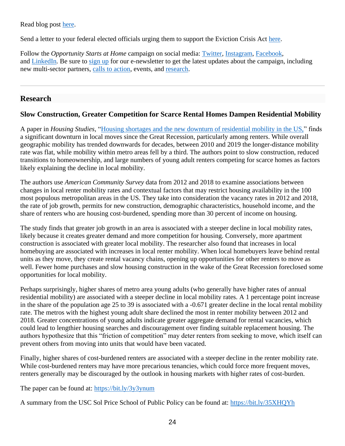Read blog post [here.](https://www.opportunityhome.org/resources/eviction-crisis-act-what-it-is-and-why-it-matters/)

Send a letter to your federal elected officials urging them to support the Eviction Crisis Act [here.](https://www.opportunityhome.org/take-action/the-bipartisan-eviction-crisis-act-2/)

Follow the *Opportunity Starts at Home* campaign on social media: [Twitter,](https://twitter.com/oppstartsathome) [Instagram,](https://www.instagram.com/oppstartsathome/) [Facebook,](https://www.facebook.com/oppstartsathome/) and [LinkedIn](https://www.linkedin.com/company/oppstartsathome/)*.* Be sure to [sign up](https://www.opportunityhome.org/take-action/lets-stand-together/) for our e-newsletter to get the latest updates about the campaign, including new multi-sector partners, [calls to](https://www.opportunityhome.org/take-action/) action, events, and [research.](https://www.opportunityhome.org/related-sectors/)

# **Research**

# **Slow Construction, Greater Competition for Scarce Rental Homes Dampen Residential Mobility**

A paper in *Housing Studies,* ["Housing shortages and the new downturn of residential mobility in the US,"](https://cpb-us-e1.wpmucdn.com/sites.usc.edu/dist/6/210/files/2021/06/Housing-shortages-and-the-new-downturn-of-residential-mobility-in-the-US.pdf) finds a significant downturn in local moves since the Great Recession, particularly among renters. While overall geographic mobility has trended downwards for decades, between 2010 and 2019 the longer-distance mobility rate was flat, while mobility within metro areas fell by a third. The authors point to slow construction, reduced transitions to homeownership, and large numbers of young adult renters competing for scarce homes as factors likely explaining the decline in local mobility.

The authors use *American Community Survey* data from 2012 and 2018 to examine associations between changes in local renter mobility rates and contextual factors that may restrict housing availability in the 100 most populous metropolitan areas in the US. They take into consideration the vacancy rates in 2012 and 2018, the rate of job growth, permits for new construction, demographic characteristics, household income, and the share of renters who are housing cost-burdened, spending more than 30 percent of income on housing.

The study finds that greater job growth in an area is associated with a steeper decline in local mobility rates, likely because it creates greater demand and more competition for housing. Conversely, more apartment construction is associated with greater local mobility. The researcher also found that increases in local homebuying are associated with increases in local renter mobility. When local homebuyers leave behind rental units as they move, they create rental vacancy chains, opening up opportunities for other renters to move as well. Fewer home purchases and slow housing construction in the wake of the Great Recession foreclosed some opportunities for local mobility.

Perhaps surprisingly, higher shares of metro area young adults (who generally have higher rates of annual residential mobility) are associated with a steeper decline in local mobility rates. A 1 percentage point increase in the share of the population age 25 to 39 is associated with a -0.671 greater decline in the local rental mobility rate. The metros with the highest young adult share declined the most in renter mobility between 2012 and 2018. Greater concentrations of young adults indicate greater aggregate demand for rental vacancies, which could lead to lengthier housing searches and discouragement over finding suitable replacement housing. The authors hypothesize that this "friction of competition" may deter renters from seeking to move, which itself can prevent others from moving into units that would have been vacated.

Finally, higher shares of cost-burdened renters are associated with a steeper decline in the renter mobility rate. While cost-burdened renters may have more precarious tenancies, which could force more frequent moves, renters generally may be discouraged by the outlook in housing markets with higher rates of cost-burden.

The paper can be found at:<https://bit.ly/3y3ynum>

A summary from the USC Sol Price School of Public Policy can be found at:<https://bit.ly/35XHQYh>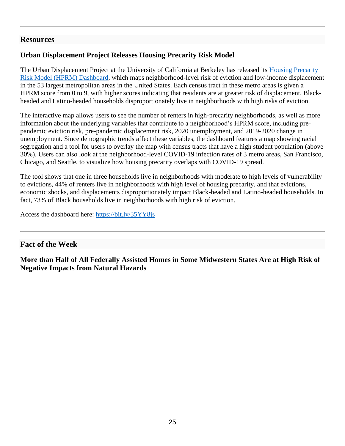## **Resources**

# **Urban Displacement Project Releases Housing Precarity Risk Model**

The Urban Displacement Project at the University of California at Berkeley has released its Housing Precarity [Risk Model \(HPRM\) Dashboard,](https://www.urbandisplacement.org/us-regions/housing-precarity-risk-model#link-4) which maps neighborhood-level risk of eviction and low-income displacement in the 53 largest metropolitan areas in the United States. Each census tract in these metro areas is given a HPRM score from 0 to 9, with higher scores indicating that residents are at greater risk of displacement. Blackheaded and Latino-headed households disproportionately live in neighborhoods with high risks of eviction.

The interactive map allows users to see the number of renters in high-precarity neighborhoods, as well as more information about the underlying variables that contribute to a neighborhood's HPRM score, including prepandemic eviction risk, pre-pandemic displacement risk, 2020 unemployment, and 2019-2020 change in unemployment. Since demographic trends affect these variables, the dashboard features a map showing racial segregation and a tool for users to overlay the map with census tracts that have a high student population (above 30%). Users can also look at the neighborhood-level COVID-19 infection rates of 3 metro areas, San Francisco, Chicago, and Seattle, to visualize how housing precarity overlaps with COVID-19 spread.

The tool shows that one in three households live in neighborhoods with moderate to high levels of vulnerability to evictions, 44% of renters live in neighborhoods with high level of housing precarity, and that evictions, economic shocks, and displacements disproportionately impact Black-headed and Latino-headed households. In fact, 73% of Black households live in neighborhoods with high risk of eviction.

Access the dashboard here:<https://bit.ly/35YY8js>

# **Fact of the Week**

**More than Half of All Federally Assisted Homes in Some Midwestern States Are at High Risk of Negative Impacts from Natural Hazards**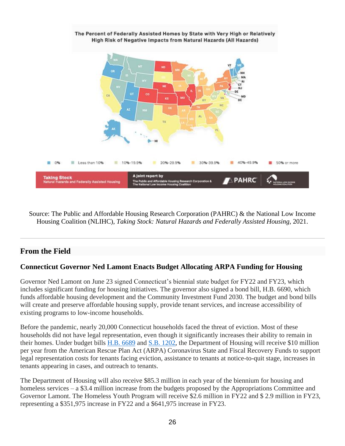

Source: The Public and Affordable Housing Research Corporation (PAHRC) & the National Low Income Housing Coalition (NLIHC), *Taking Stock: Natural Hazards and Federally Assisted Housing,* 2021.

# **From the Field**

# **Connecticut Governor Ned Lamont Enacts Budget Allocating ARPA Funding for Housing**

Governor Ned Lamont on June 23 signed Connecticut's biennial state budget for FY22 and FY23, which includes significant funding for housing initiatives. The governor also signed a bond bill, H.B. 6690, which funds affordable housing development and the Community Investment Fund 2030. The budget and bond bills will create and preserve affordable housing supply, provide tenant services, and increase accessibility of existing programs to low-income households.

Before the pandemic, nearly 20,000 Connecticut households faced the threat of eviction. Most of these households did not have legal representation, even though it significantly increases their ability to remain in their homes. Under budget bills [H.B. 6689](https://cga.ct.gov/2021/TOB/H/PDF/2021HB-06689-R00-HB.PDF) and [S.B. 1202,](https://www.cga.ct.gov/2021/TOB/S/PDF/2021SB-01202-R00-SB.PDF) the Department of Housing will receive \$10 million per year from the American Rescue Plan Act (ARPA) Coronavirus State and Fiscal Recovery Funds to support legal representation costs for tenants facing eviction, assistance to tenants at notice-to-quit stage, increases in tenants appearing in cases, and outreach to tenants.

The Department of Housing will also receive \$85.3 million in each year of the biennium for housing and homeless services – a \$3.4 million increase from the budgets proposed by the Appropriations Committee and Governor Lamont. The Homeless Youth Program will receive \$2.6 million in FY22 and \$ 2.9 million in FY23, representing a \$351,975 increase in FY22 and a \$641,975 increase in FY23.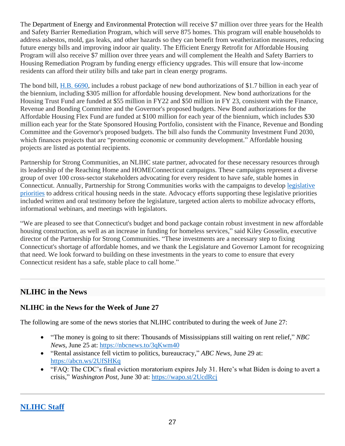The Department of Energy and Environmental Protection will receive \$7 million over three years for the Health and Safety Barrier Remediation Program, which will serve 875 homes. This program will enable households to address asbestos, mold, gas leaks, and other hazards so they can benefit from weatherization measures, reducing future energy bills and improving indoor air quality. The Efficient Energy Retrofit for Affordable Housing Program will also receive \$7 million over three years and will complement the Health and Safety Barriers to Housing Remediation Program by funding energy efficiency upgrades. This will ensure that low-income residents can afford their utility bills and take part in clean energy programs.

The bond bill, [H.B. 6690,](https://www.cga.ct.gov/2021/TOB/H/PDF/2021HB-06690-R00-HB.PDF) includes a robust package of new bond authorizations of \$1.7 billion in each year of the biennium, including \$305 million for affordable housing development. New bond authorizations for the Housing Trust Fund are funded at \$55 million in FY22 and \$50 million in FY 23, consistent with the Finance, Revenue and Bonding Committee and the Governor's proposed budgets. New Bond authorizations for the Affordable Housing Flex Fund are funded at \$100 million for each year of the biennium, which includes \$30 million each year for the State Sponsored Housing Portfolio, consistent with the Finance, Revenue and Bonding Committee and the Governor's proposed budgets. The bill also funds the Community Investment Fund 2030, which finances projects that are "promoting economic or community development." Affordable housing projects are listed as potential recipients.

Partnership for Strong Communities, an NLIHC state partner, advocated for these necessary resources through its leadership of the Reaching Home and HOMEConnecticut campaigns. These campaigns represent a diverse group of over 100 cross-sector stakeholders advocating for every resident to have safe, stable homes in Connecticut. Annually, Partnership for Strong Communities works with the campaigns to develop [legislative](https://www.pschousing.org/legislative-priorities)  [priorities](https://www.pschousing.org/legislative-priorities) to address critical housing needs in the state. Advocacy efforts supporting these legislative priorities included written and oral testimony before the legislature, targeted action alerts to mobilize advocacy efforts, informational webinars, and meetings with legislators.

"We are pleased to see that Connecticut's budget and bond package contain robust investment in new affordable housing construction, as well as an increase in funding for homeless services," said Kiley Gosselin, executive director of the Partnership for Strong Communities. "These investments are a necessary step to fixing Connecticut's shortage of affordable homes, and we thank the Legislature and Governor Lamont for recognizing that need. We look forward to building on these investments in the years to come to ensure that every Connecticut resident has a safe, stable place to call home."

# **NLIHC in the News**

# **NLIHC in the News for the Week of June 27**

The following are some of the news stories that NLIHC contributed to during the week of June 27:

- "The money is going to sit there: Thousands of Mississippians still waiting on rent relief," *NBC News,* June 25 at:<https://nbcnews.to/3qKwm40>
- "Rental assistance fell victim to politics, bureaucracy," *ABC News*, June 29 at: <https://abcn.ws/2UfSHKq>
- "FAQ: The CDC's final eviction moratorium expires July 31. Here's what Biden is doing to avert a crisis," *Washington Post*, June 30 at:<https://wapo.st/2UcdRcj>